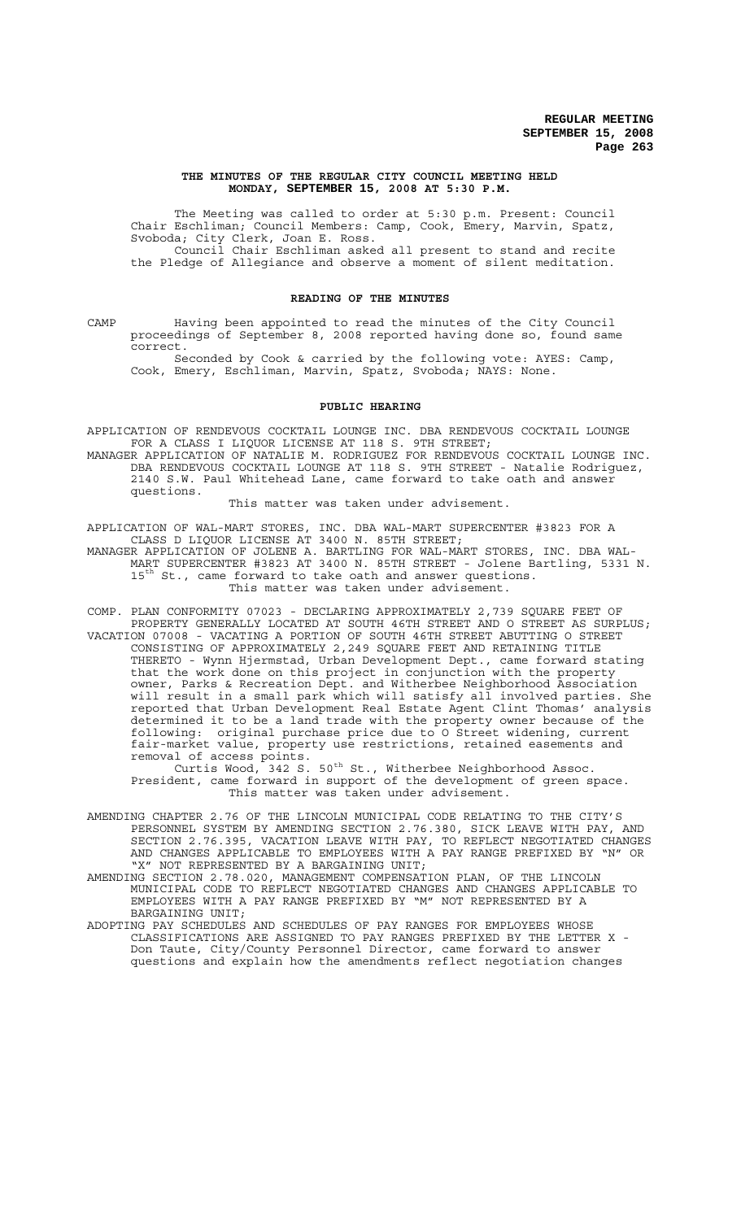### **THE MINUTES OF THE REGULAR CITY COUNCIL MEETING HELD MONDAY, SEPTEMBER 15, 2008 AT 5:30 P.M.**

The Meeting was called to order at 5:30 p.m. Present: Council Chair Eschliman; Council Members: Camp, Cook, Emery, Marvin, Spatz, Svoboda; City Clerk, Joan E. Ross. Council Chair Eschliman asked all present to stand and recite the Pledge of Allegiance and observe a moment of silent meditation.

#### **READING OF THE MINUTES**

CAMP Having been appointed to read the minutes of the City Council proceedings of September 8, 2008 reported having done so, found same correct.

Seconded by Cook & carried by the following vote: AYES: Camp, Cook, Emery, Eschliman, Marvin, Spatz, Svoboda; NAYS: None.

### **PUBLIC HEARING**

APPLICATION OF RENDEVOUS COCKTAIL LOUNGE INC. DBA RENDEVOUS COCKTAIL LOUNGE FOR A CLASS I LIQUOR LICENSE AT 118 S. 9TH STREET;

MANAGER APPLICATION OF NATALIE M. RODRIGUEZ FOR RENDEVOUS COCKTAIL LOUNGE INC. DBA RENDEVOUS COCKTAIL LOUNGE AT 118 S. 9TH STREET - Natalie Rodriguez, 2140 S.W. Paul Whitehead Lane, came forward to take oath and answer questions.

### This matter was taken under advisement.

APPLICATION OF WAL-MART STORES, INC. DBA WAL-MART SUPERCENTER #3823 FOR A CLASS D LIQUOR LICENSE AT 3400 N. 85TH STREET;

MANAGER APPLICATION OF JOLENE A. BARTLING FOR WAL-MART STORES, INC. DBA WAL-MART SUPERCENTER #3823 AT 3400 N. 85TH STREET - Jolene Bartling, 5331 N. 15<sup>th</sup> St., came forward to take oath and answer questions. This matter was taken under advisement.

COMP. PLAN CONFORMITY 07023 - DECLARING APPROXIMATELY 2,739 SQUARE FEET OF PROPERTY GENERALLY LOCATED AT SOUTH 46TH STREET AND O STREET AS SURPLUS; VACATION 07008 - VACATING A PORTION OF SOUTH 46TH STREET ABUTTING O STREET CONSISTING OF APPROXIMATELY 2,249 SQUARE FEET AND RETAINING TITLE THERETO - Wynn Hjermstad, Urban Development Dept., came forward stating that the work done on this project in conjunction with the property owner, Parks & Recreation Dept. and Witherbee Neighborhood Association will result in a small park which will satisfy all involved parties. She reported that Urban Development Real Estate Agent Clint Thomas' analysis determined it to be a land trade with the property owner because of the following: original purchase price due to O Street widening, current fair-market value, property use restrictions, retained easements and removal of access points.

Curtis Wood, 342 S.  $50^{\text{th}}$  St., Witherbee Neighborhood Assoc. President, came forward in support of the development of green space. This matter was taken under advisement.

AMENDING CHAPTER 2.76 OF THE LINCOLN MUNICIPAL CODE RELATING TO THE CITY'S PERSONNEL SYSTEM BY AMENDING SECTION 2.76.380, SICK LEAVE WITH PAY, AND SECTION 2.76.395, VACATION LEAVE WITH PAY, TO REFLECT NEGOTIATED CHANGES AND CHANGES APPLICABLE TO EMPLOYEES WITH A PAY RANGE PREFIXED BY "N" OR "X" NOT REPRESENTED BY A BARGAINING UNIT;

AMENDING SECTION 2.78.020, MANAGEMENT COMPENSATION PLAN, OF THE LINCOLN MUNICIPAL CODE TO REFLECT NEGOTIATED CHANGES AND CHANGES APPLICABLE TO EMPLOYEES WITH A PAY RANGE PREFIXED BY "M" NOT REPRESENTED BY A BARGAINING UNIT;

ADOPTING PAY SCHEDULES AND SCHEDULES OF PAY RANGES FOR EMPLOYEES WHOSE CLASSIFICATIONS ARE ASSIGNED TO PAY RANGES PREFIXED BY THE LETTER X - Don Taute, City/County Personnel Director, came forward to answer questions and explain how the amendments reflect negotiation changes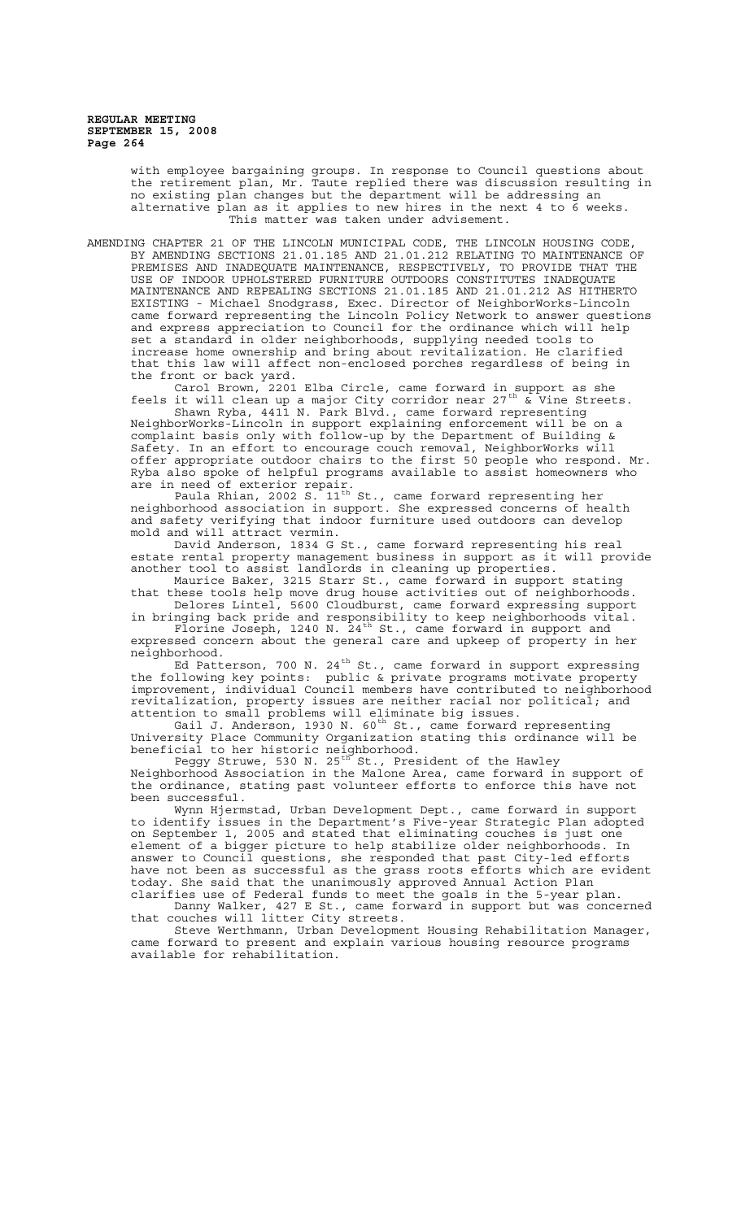> with employee bargaining groups. In response to Council questions about the retirement plan, Mr. Taute replied there was discussion resulting in no existing plan changes but the department will be addressing an alternative plan as it applies to new hires in the next 4 to  $\vec{6}$ This matter was taken under advisement.

AMENDING CHAPTER 21 OF THE LINCOLN MUNICIPAL CODE, THE LINCOLN HOUSING CODE, BY AMENDING SECTIONS 21.01.185 AND 21.01.212 RELATING TO MAINTENANCE OF PREMISES AND INADEQUATE MAINTENANCE, RESPECTIVELY, TO PROVIDE THAT THE USE OF INDOOR UPHOLSTERED FURNITURE OUTDOORS CONSTITUTES INADEQUATE MAINTENANCE AND REPEALING SECTIONS 21.01.185 AND 21.01.212 AS HITHERTO EXISTING - Michael Snodgrass, Exec. Director of NeighborWorks-Lincoln came forward representing the Lincoln Policy Network to answer questions and express appreciation to Council for the ordinance which will help set a standard in older neighborhoods, supplying needed tools to increase home ownership and bring about revitalization. He clarified that this law will affect non-enclosed porches regardless of being in the front or back yard.

Carol Brown, 2201 Elba Circle, came forward in support as she feels it will clean up a major City corridor near 27<sup>th</sup>  $\stackrel{\text{t}}{\text{\&}}$  Vine Streets.

Shawn Ryba, 4411 N. Park Blvd., came forward representing NeighborWorks-Lincoln in support explaining enforcement will be on a complaint basis only with follow-up by the Department of Building & Safety. In an effort to encourage couch removal, NeighborWorks will offer appropriate outdoor chairs to the first 50 people who respond. Mr. Ryba also spoke of helpful programs available to assist homeowners who are in need of exterior repair.

Paula Rhian, 2002 S. 11<sup>th</sup> St., came forward representing her neighborhood association in support. She expressed concerns of health and safety verifying that indoor furniture used outdoors can develop mold and will attract vermin.

David Anderson, 1834 G St., came forward representing his real estate rental property management business in support as it will provide another tool to assist landlords in cleaning up properties.

Maurice Baker, 3215 Starr St., came forward in support stating that these tools help move drug house activities out of neighborhoods. Delores Lintel, 5600 Cloudburst, came forward expressing support

in bringing back pride and responsibility to keep neighborhoods vital. Florine Joseph, 1240 N. 24<sup>th</sup> St., came forward in support and expressed concern about the general care and upkeep of property in her neighborhood.

Ed Patterson, 700 N. 24<sup>th</sup> St., came forward in support expressing the following key points: public & private programs motivate property improvement, individual Council members have contributed to neighborhood revitalization, property issues are neither racial nor political; and attention to small problems will eliminate big issues.

Gail J. Anderson, 1930 N. 60<sup>th</sup> St., came forward representing University Place Community Organization stating this ordinance will be beneficial to her historic neighborhood.

Peggy Struwe, 530 N. 25<sup>th</sup> St., President of the Hawley Neighborhood Association in the Malone Area, came forward in support of the ordinance, stating past volunteer efforts to enforce this have not been successful.

Wynn Hjermstad, Urban Development Dept., came forward in support to identify issues in the Department's Five-year Strategic Plan adopted on September 1, 2005 and stated that eliminating couches is just one element of a bigger picture to help stabilize older neighborhoods. In answer to Council questions, she responded that past City-led efforts have not been as successful as the grass roots efforts which are evident today. She said that the unanimously approved Annual Action Plan clarifies use of Federal funds to meet the goals in the 5-year plan.

Danny Walker, 427 E St., came forward in support but was concerned that couches will litter City streets.

Steve Werthmann, Urban Development Housing Rehabilitation Manager, came forward to present and explain various housing resource programs available for rehabilitation.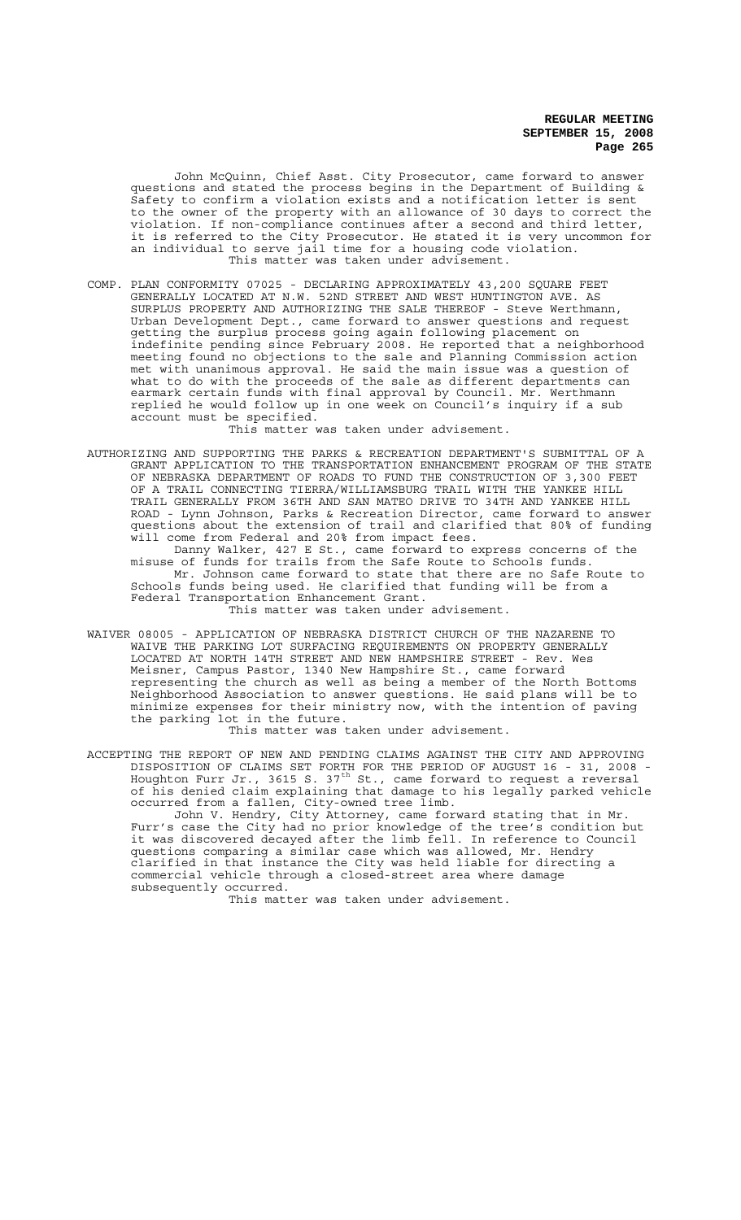John McQuinn, Chief Asst. City Prosecutor, came forward to answer questions and stated the process begins in the Department of Building & Safety to confirm a violation exists and a notification letter is sent to the owner of the property with an allowance of 30 days to correct the violation. If non-compliance continues after a second and third letter, it is referred to the City Prosecutor. He stated it is very uncommon for an individual to serve jail time for a housing code violation. This matter was taken under advisement.

COMP. PLAN CONFORMITY 07025 - DECLARING APPROXIMATELY 43,200 SQUARE FEET GENERALLY LOCATED AT N.W. 52ND STREET AND WEST HUNTINGTON AVE. AS SURPLUS PROPERTY AND AUTHORIZING THE SALE THEREOF - Steve Werthmann, Urban Development Dept., came forward to answer questions and request getting the surplus process going again following placement on indefinite pending since February 2008. He reported that a neighborhood meeting found no objections to the sale and Planning Commission action met with unanimous approval. He said the main issue was a question of what to do with the proceeds of the sale as different departments can earmark certain funds with final approval by Council. Mr. Werthmann replied he would follow up in one week on Council's inquiry if a sub account must be specified.

This matter was taken under advisement.

AUTHORIZING AND SUPPORTING THE PARKS & RECREATION DEPARTMENT'S SUBMITTAL OF A GRANT APPLICATION TO THE TRANSPORTATION ENHANCEMENT PROGRAM OF THE STATE OF NEBRASKA DEPARTMENT OF ROADS TO FUND THE CONSTRUCTION OF 3,300 FEET OF A TRAIL CONNECTING TIERRA/WILLIAMSBURG TRAIL WITH THE YANKEE HILL TRAIL GENERALLY FROM 36TH AND SAN MATEO DRIVE TO 34TH AND YANKEE HILL ROAD - Lynn Johnson, Parks & Recreation Director, came forward to answer questions about the extension of trail and clarified that 80% of funding will come from Federal and 20% from impact fees.

Danny Walker, 427 E St., came forward to express concerns of the misuse of funds for trails from the Safe Route to Schools funds. Mr. Johnson came forward to state that there are no Safe Route to Schools funds being used. He clarified that funding will be from a Federal Transportation Enhancement Grant. This matter was taken under advisement.

WAIVER 08005 - APPLICATION OF NEBRASKA DISTRICT CHURCH OF THE NAZARENE TO WAIVE THE PARKING LOT SURFACING REQUIREMENTS ON PROPERTY GENERALLY LOCATED AT NORTH 14TH STREET AND NEW HAMPSHIRE STREET - Rev. Wes Meisner, Campus Pastor, 1340 New Hampshire St., came forward representing the church as well as being a member of the North Bottoms Neighborhood Association to answer questions. He said plans will be to minimize expenses for their ministry now, with the intention of paving the parking lot in the future.

This matter was taken under advisement.

ACCEPTING THE REPORT OF NEW AND PENDING CLAIMS AGAINST THE CITY AND APPROVING DISPOSITION OF CLAIMS SET FORTH FOR THE PERIOD OF AUGUST 16 - 31, 2008 - Houghton Furr Jr., 3615 S. 37<sup>th</sup> St., came forward to request a reversal of his denied claim explaining that damage to his legally parked vehicle occurred from a fallen, City-owned tree limb.

John V. Hendry, City Attorney, came forward stating that in Mr. Furr's case the City had no prior knowledge of the tree's condition but it was discovered decayed after the limb fell. In reference to Council questions comparing a similar case which was allowed, Mr. Hendry clarified in that instance the City was held liable for directing a commercial vehicle through a closed-street area where damage subsequently occurred.

This matter was taken under advisement.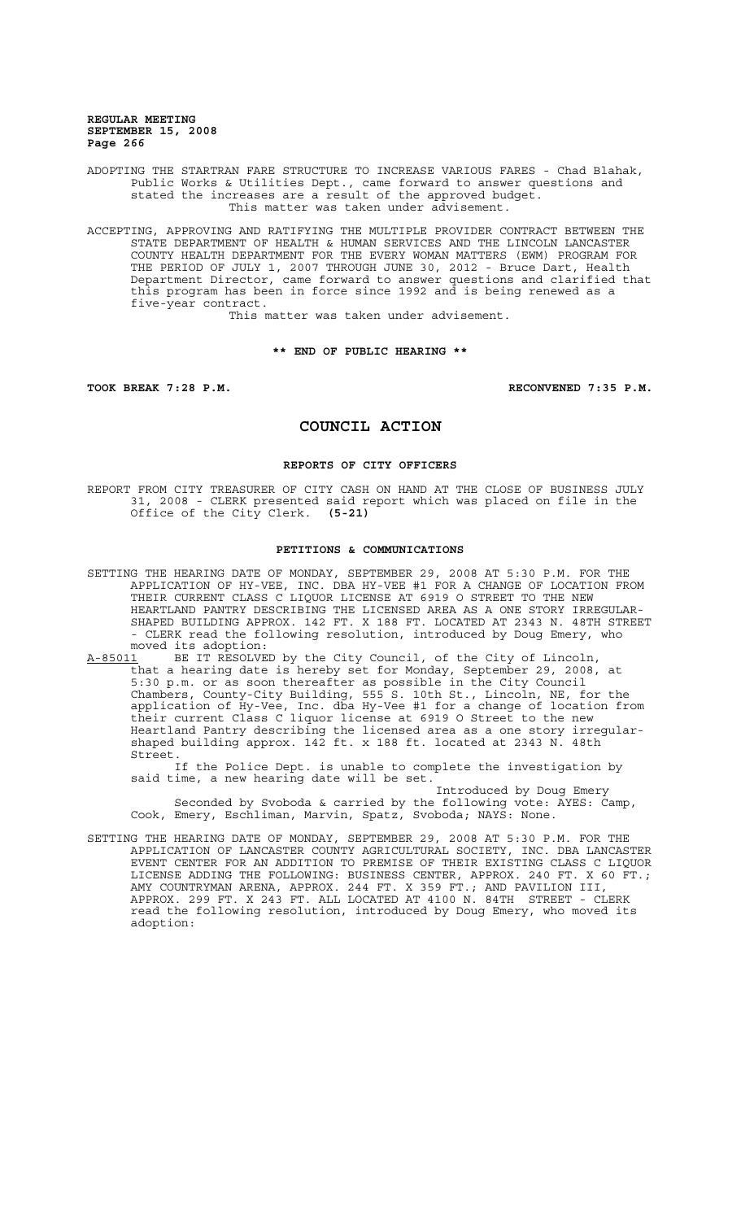ADOPTING THE STARTRAN FARE STRUCTURE TO INCREASE VARIOUS FARES - Chad Blahak, Public Works & Utilities Dept., came forward to answer questions and stated the increases are a result of the approved budget. This matter was taken under advisement.

ACCEPTING, APPROVING AND RATIFYING THE MULTIPLE PROVIDER CONTRACT BETWEEN THE STATE DEPARTMENT OF HEALTH & HUMAN SERVICES AND THE LINCOLN LANCASTER COUNTY HEALTH DEPARTMENT FOR THE EVERY WOMAN MATTERS (EWM) PROGRAM FOR THE PERIOD OF JULY 1, 2007 THROUGH JUNE 30, 2012 - Bruce Dart, Health Department Director, came forward to answer questions and clarified that this program has been in force since 1992 and is being renewed as a five-year contract.

This matter was taken under advisement.

### **\*\* END OF PUBLIC HEARING \*\***

**TOOK BREAK 7:28 P.M. RECONVENED 7:35 P.M.**

# **COUNCIL ACTION**

## **REPORTS OF CITY OFFICERS**

REPORT FROM CITY TREASURER OF CITY CASH ON HAND AT THE CLOSE OF BUSINESS JULY 31, 2008 - CLERK presented said report which was placed on file in the Office of the City Clerk. **(5-21)**

### **PETITIONS & COMMUNICATIONS**

SETTING THE HEARING DATE OF MONDAY, SEPTEMBER 29, 2008 AT 5:30 P.M. FOR THE APPLICATION OF HY-VEE, INC. DBA HY-VEE #1 FOR A CHANGE OF LOCATION FROM THEIR CURRENT CLASS C LIQUOR LICENSE AT 6919 O STREET TO THE NEW HEARTLAND PANTRY DESCRIBING THE LICENSED AREA AS A ONE STORY IRREGULAR-SHAPED BUILDING APPROX. 142 FT. X 188 FT. LOCATED AT 2343 N. 48TH STREET - CLERK read the following resolution, introduced by Doug Emery, who moved its adoption:

A-85011 BE IT RESOLVED by the City Council, of the City of Lincoln, that a hearing date is hereby set for Monday, September 29, 2008, at 5:30 p.m. or as soon thereafter as possible in the City Council Chambers, County-City Building, 555 S. 10th St., Lincoln, NE, for the application of Hy-Vee, Inc. dba Hy-Vee #1 for a change of location from their current Class C liquor license at 6919 O Street to the new Heartland Pantry describing the licensed area as a one story irregularshaped building approx. 142 ft. x 188 ft. located at 2343 N. 48th Street.

If the Police Dept. is unable to complete the investigation by said time, a new hearing date will be set.

Introduced by Doug Emery Seconded by Svoboda & carried by the following vote: AYES: Camp, Cook, Emery, Eschliman, Marvin, Spatz, Svoboda; NAYS: None.

SETTING THE HEARING DATE OF MONDAY, SEPTEMBER 29, 2008 AT 5:30 P.M. FOR THE APPLICATION OF LANCASTER COUNTY AGRICULTURAL SOCIETY, INC. DBA LANCASTER EVENT CENTER FOR AN ADDITION TO PREMISE OF THEIR EXISTING CLASS C LIQUOR LICENSE ADDING THE FOLLOWING: BUSINESS CENTER, APPROX. 240 FT. X 60 FT.; AMY COUNTRYMAN ARENA, APPROX. 244 FT. X 359 FT.; AND PAVILION III, APPROX. 299 FT. X 243 FT. ALL LOCATED AT 4100 N. 84TH STREET - CLERK read the following resolution, introduced by Doug Emery, who moved its adoption: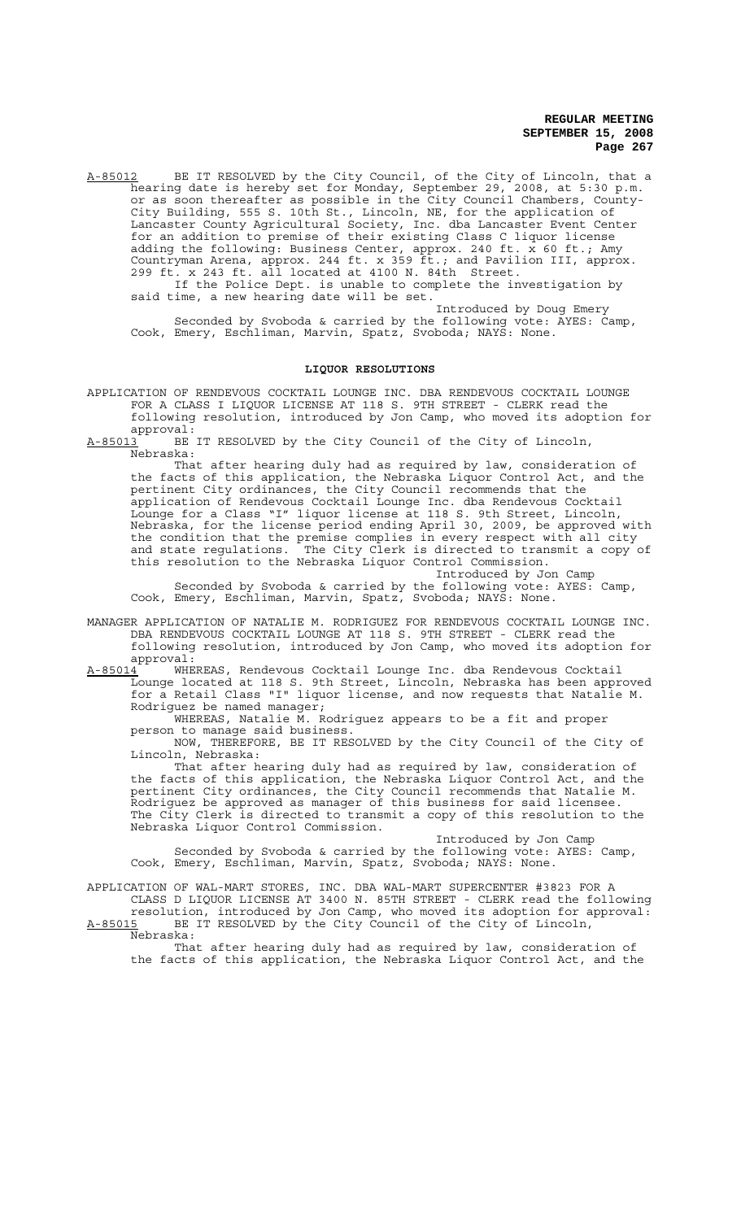A-85012 BE IT RESOLVED by the City Council, of the City of Lincoln, that a hearing date is hereby set for Monday, September 29, 2008, at 5:30 p.m. or as soon thereafter as possible in the City Council Chambers, County-City Building, 555 S. 10th St., Lincoln, NE, for the application of Lancaster County Agricultural Society, Inc. dba Lancaster Event Center for an addition to premise of their existing Class C liquor license adding the following: Business Center, approx. 240 ft. x 60 ft.; Amy Countryman Arena, approx. 244 ft. x 359 ft.; and Pavilion III, approx. 299 ft. x 243 ft. all located at 4100 N. 84th Street. If the Police Dept. is unable to complete the investigation by said time, a new hearing date will be set.

Introduced by Doug Emery Seconded by Svoboda & carried by the following vote: AYES: Camp, Cook, Emery, Eschliman, Marvin, Spatz, Svoboda; NAYS: None.

### **LIQUOR RESOLUTIONS**

APPLICATION OF RENDEVOUS COCKTAIL LOUNGE INC. DBA RENDEVOUS COCKTAIL LOUNGE FOR A CLASS I LIQUOR LICENSE AT 118 S. 9TH STREET - CLERK read the following resolution, introduced by Jon Camp, who moved its adoption for

approval:<br><u>A-85013</u> BE BE IT RESOLVED by the City Council of the City of Lincoln, Nebraska:

That after hearing duly had as required by law, consideration of the facts of this application, the Nebraska Liquor Control Act, and the pertinent City ordinances, the City Council recommends that the application of Rendevous Cocktail Lounge Inc. dba Rendevous Cocktail Lounge for a Class "I" liquor license at 118 S. 9th Street, Lincoln, Nebraska, for the license period ending April 30, 2009, be approved with the condition that the premise complies in every respect with all city and state regulations. The City Clerk is directed to transmit a copy of this resolution to the Nebraska Liquor Control Commission.

Introduced by Jon Camp Seconded by Svoboda & carried by the following vote: AYES: Camp, Cook, Emery, Eschliman, Marvin, Spatz, Svoboda; NAYS: None.

- MANAGER APPLICATION OF NATALIE M. RODRIGUEZ FOR RENDEVOUS COCKTAIL LOUNGE INC. DBA RENDEVOUS COCKTAIL LOUNGE AT 118 S. 9TH STREET - CLERK read the following resolution, introduced by Jon Camp, who moved its adoption for
- approval:<br><u>A-85014</u> WHE A-85014 MHEREAS, Rendevous Cocktail Lounge Inc. dba Rendevous Cocktail Lounge located at 118 S. 9th Street, Lincoln, Nebraska has been approved for a Retail Class "I" liquor license, and now requests that Natalie M. Rodriguez be named manager;

WHEREAS, Natalie M. Rodriguez appears to be a fit and proper person to manage said business.

NOW, THEREFORE, BE IT RESOLVED by the City Council of the City of Lincoln, Nebraska:

That after hearing duly had as required by law, consideration of the facts of this application, the Nebraska Liquor Control Act, and the pertinent City ordinances, the City Council recommends that Natalie M. Rodriguez be approved as manager of this business for said licensee. The City Clerk is directed to transmit a copy of this resolution to the Nebraska Liquor Control Commission.

Introduced by Jon Camp Seconded by Svoboda & carried by the following vote: AYES: Camp, Cook, Emery, Eschliman, Marvin, Spatz, Svoboda; NAYS: None.

APPLICATION OF WAL-MART STORES, INC. DBA WAL-MART SUPERCENTER #3823 FOR A CLASS D LIQUOR LICENSE AT 3400 N. 85TH STREET - CLERK read the following

resolution, introduced by Jon Camp, who moved its adoption for approval: A-85015 BE IT RESOLVED by the City Council of the City of Lincoln,

Nebraska:

That after hearing duly had as required by law, consideration of the facts of this application, the Nebraska Liquor Control Act, and the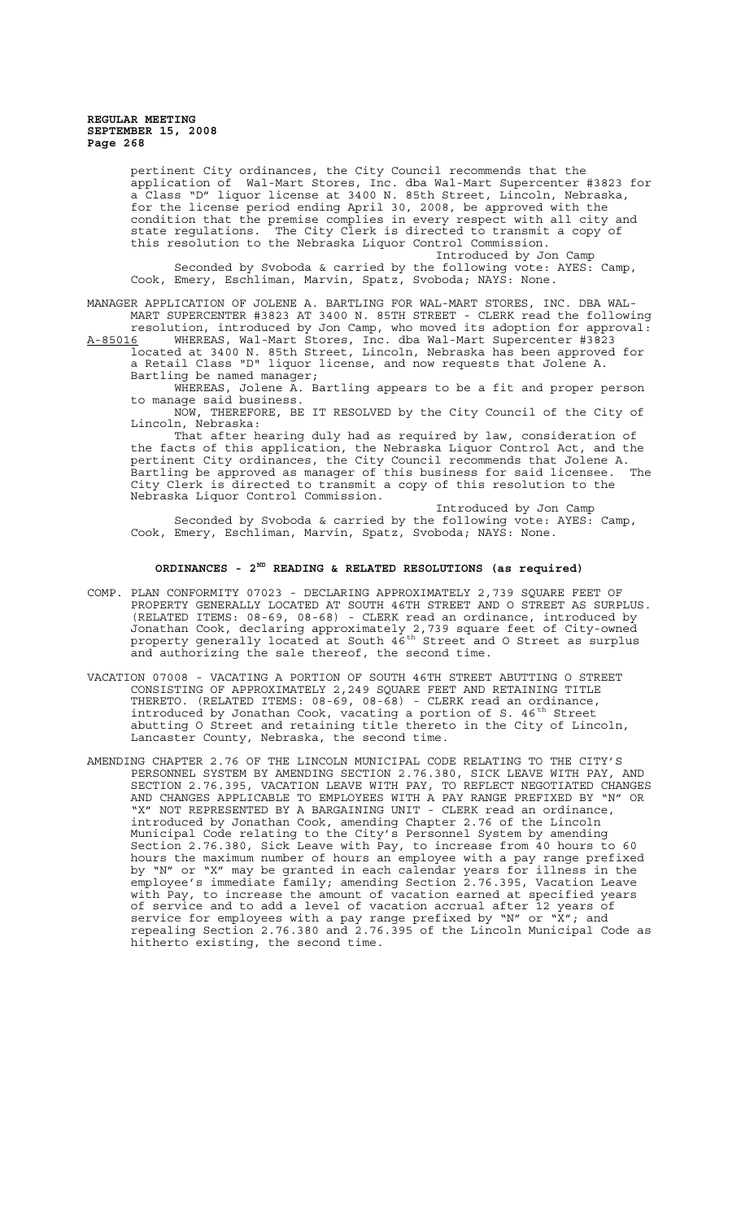pertinent City ordinances, the City Council recommends that the application of Wal-Mart Stores, Inc. dba Wal-Mart Supercenter #3823 for a Class "D" liquor license at 3400 N. 85th Street, Lincoln, Nebraska, for the license period ending April 30, 2008, be approved with the condition that the premise complies in every respect with all city and state regulations. The City Clerk is directed to transmit a copy of this resolution to the Nebraska Liquor Control Commission.

Introduced by Jon Camp Seconded by Svoboda & carried by the following vote: AYES: Camp, Cook, Emery, Eschliman, Marvin, Spatz, Svoboda; NAYS: None.

MANAGER APPLICATION OF JOLENE A. BARTLING FOR WAL-MART STORES, INC. DBA WAL-MART SUPERCENTER #3823 AT 3400 N. 85TH STREET - CLERK read the following resolution, introduced by Jon Camp, who moved its adoption for approval:

A-85016 WHEREAS, Wal-Mart Stores, Inc. dba Wal-Mart Supercenter #3823 located at 3400 N. 85th Street, Lincoln, Nebraska has been approved for a Retail Class "D" liquor license, and now requests that Jolene A. Bartling be named manager;

WHEREAS, Jolene A. Bartling appears to be a fit and proper person to manage said business.

NOW, THEREFORE, BE IT RESOLVED by the City Council of the City of Lincoln, Nebraska:

That after hearing duly had as required by law, consideration of the facts of this application, the Nebraska Liquor Control Act, and the pertinent City ordinances, the City Council recommends that Jolene A. Bartling be approved as manager of this business for said licensee. The City Clerk is directed to transmit a copy of this resolution to the Nebraska Liquor Control Commission.

Introduced by Jon Camp Seconded by Svoboda & carried by the following vote: AYES: Camp, Cook, Emery, Eschliman, Marvin, Spatz, Svoboda; NAYS: None.

# **ORDINANCES - 2ND READING & RELATED RESOLUTIONS (as required)**

- COMP. PLAN CONFORMITY 07023 DECLARING APPROXIMATELY 2,739 SQUARE FEET OF PROPERTY GENERALLY LOCATED AT SOUTH 46TH STREET AND O STREET AS SURPLUS. (RELATED ITEMS: 08-69, 08-68) - CLERK read an ordinance, introduced by Jonathan Cook, declaring approximately 2,739 square feet of City-owned property generally located at South 46<sup>th</sup> Street and O Street as surplus and authorizing the sale thereof, the second time.
- VACATION 07008 VACATING A PORTION OF SOUTH 46TH STREET ABUTTING O STREET CONSISTING OF APPROXIMATELY 2,249 SQUARE FEET AND RETAINING TITLE THERETO. (RELATED ITEMS: 08-69, 08-68) - CLERK read an ordinance, introduced by Jonathan Cook, vacating a portion of S. 46<sup>th</sup> Street abutting O Street and retaining title thereto in the City of Lincoln, Lancaster County, Nebraska, the second time.
- AMENDING CHAPTER 2.76 OF THE LINCOLN MUNICIPAL CODE RELATING TO THE CITY'S PERSONNEL SYSTEM BY AMENDING SECTION 2.76.380, SICK LEAVE WITH PAY, AND SECTION 2.76.395, VACATION LEAVE WITH PAY, TO REFLECT NEGOTIATED CHANGES AND CHANGES APPLICABLE TO EMPLOYEES WITH A PAY RANGE PREFIXED BY "N" OR "X" NOT REPRESENTED BY A BARGAINING UNIT - CLERK read an ordinance, introduced by Jonathan Cook, amending Chapter 2.76 of the Lincoln Municipal Code relating to the City's Personnel System by amending Section 2.76.380, Sick Leave with Pay, to increase from 40 hours to 60 hours the maximum number of hours an employee with a pay range prefixed by "N" or "X" may be granted in each calendar years for illness in the employee's immediate family; amending Section 2.76.395, Vacation Leave with Pay, to increase the amount of vacation earned at specified years of service and to add a level of vacation accrual after 12 years of service for employees with a pay range prefixed by "N" or "X"; and repealing Section 2.76.380 and 2.76.395 of the Lincoln Municipal Code as hitherto existing, the second time.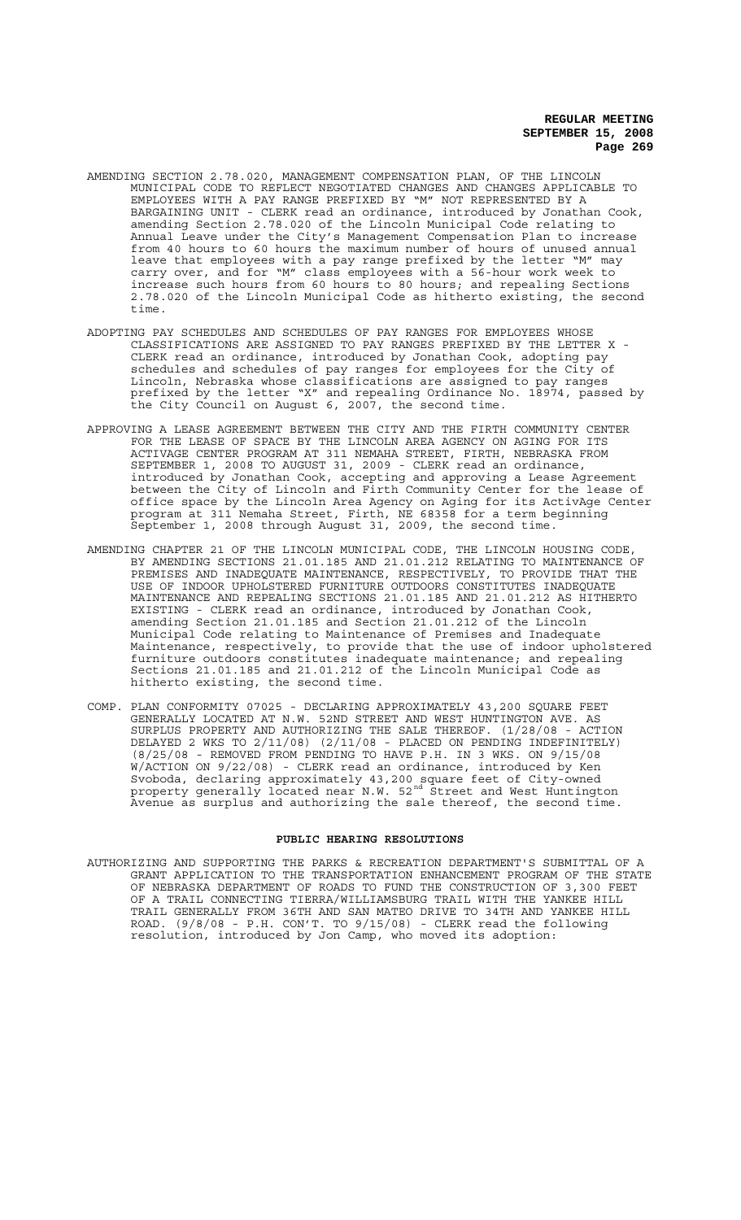- AMENDING SECTION 2.78.020, MANAGEMENT COMPENSATION PLAN, OF THE LINCOLN MUNICIPAL CODE TO REFLECT NEGOTIATED CHANGES AND CHANGES APPLICABLE TO EMPLOYEES WITH A PAY RANGE PREFIXED BY "M" NOT REPRESENTED BY A BARGAINING UNIT - CLERK read an ordinance, introduced by Jonathan Cook, amending Section 2.78.020 of the Lincoln Municipal Code relating to Annual Leave under the City's Management Compensation Plan to increase from 40 hours to 60 hours the maximum number of hours of unused annual leave that employees with a pay range prefixed by the letter "M" may carry over, and for "M" class employees with a 56-hour work week to increase such hours from 60 hours to 80 hours; and repealing Sections 2.78.020 of the Lincoln Municipal Code as hitherto existing, the second time.
- ADOPTING PAY SCHEDULES AND SCHEDULES OF PAY RANGES FOR EMPLOYEES WHOSE CLASSIFICATIONS ARE ASSIGNED TO PAY RANGES PREFIXED BY THE LETTER X - CLERK read an ordinance, introduced by Jonathan Cook, adopting pay schedules and schedules of pay ranges for employees for the City of Lincoln, Nebraska whose classifications are assigned to pay ranges prefixed by the letter "X" and repealing Ordinance No. 18974, passed by the City Council on August 6, 2007, the second time.
- APPROVING A LEASE AGREEMENT BETWEEN THE CITY AND THE FIRTH COMMUNITY CENTER FOR THE LEASE OF SPACE BY THE LINCOLN AREA AGENCY ON AGING FOR ITS ACTIVAGE CENTER PROGRAM AT 311 NEMAHA STREET, FIRTH, NEBRASKA FROM SEPTEMBER 1, 2008 TO AUGUST 31, 2009 - CLERK read an ordinance, introduced by Jonathan Cook, accepting and approving a Lease Agreement between the City of Lincoln and Firth Community Center for the lease of office space by the Lincoln Area Agency on Aging for its ActivAge Center program at 311 Nemaha Street, Firth, NE 68358 for a term beginning September 1, 2008 through August 31, 2009, the second time.
- AMENDING CHAPTER 21 OF THE LINCOLN MUNICIPAL CODE, THE LINCOLN HOUSING CODE, BY AMENDING SECTIONS 21.01.185 AND 21.01.212 RELATING TO MAINTENANCE OF PREMISES AND INADEQUATE MAINTENANCE, RESPECTIVELY, TO PROVIDE THAT THE USE OF INDOOR UPHOLSTERED FURNITURE OUTDOORS CONSTITUTES INADEQUATE MAINTENANCE AND REPEALING SECTIONS 21.01.185 AND 21.01.212 AS HITHERTO EXISTING - CLERK read an ordinance, introduced by Jonathan Cook, amending Section 21.01.185 and Section 21.01.212 of the Lincoln Municipal Code relating to Maintenance of Premises and Inadequate Maintenance, respectively, to provide that the use of indoor upholstered furniture outdoors constitutes inadequate maintenance; and repealing Sections 21.01.185 and 21.01.212 of the Lincoln Municipal Code as hitherto existing, the second time.
- COMP. PLAN CONFORMITY 07025 DECLARING APPROXIMATELY 43,200 SQUARE FEET GENERALLY LOCATED AT N.W. 52ND STREET AND WEST HUNTINGTON AVE. AS SURPLUS PROPERTY AND AUTHORIZING THE SALE THEREOF. (1/28/08 - ACTION DELAYED 2 WKS TO 2/11/08) (2/11/08 - PLACED ON PENDING INDEFINITELY) (8/25/08 - REMOVED FROM PENDING TO HAVE P.H. IN 3 WKS. ON 9/15/08 W/ACTION ON 9/22/08) - CLERK read an ordinance, introduced by Ken Svoboda, declaring approximately 43,200 square feet of City-owned property generally located near N.W. 52<sup>nd</sup> Street and West Huntington Avenue as surplus and authorizing the sale thereof, the second time.

### **PUBLIC HEARING RESOLUTIONS**

AUTHORIZING AND SUPPORTING THE PARKS & RECREATION DEPARTMENT'S SUBMITTAL OF A GRANT APPLICATION TO THE TRANSPORTATION ENHANCEMENT PROGRAM OF THE STATE OF NEBRASKA DEPARTMENT OF ROADS TO FUND THE CONSTRUCTION OF 3,300 FEET OF A TRAIL CONNECTING TIERRA/WILLIAMSBURG TRAIL WITH THE YANKEE HILL TRAIL GENERALLY FROM 36TH AND SAN MATEO DRIVE TO 34TH AND YANKEE HILL ROAD. (9/8/08 - P.H. CON'T. TO 9/15/08) - CLERK read the following resolution, introduced by Jon Camp, who moved its adoption: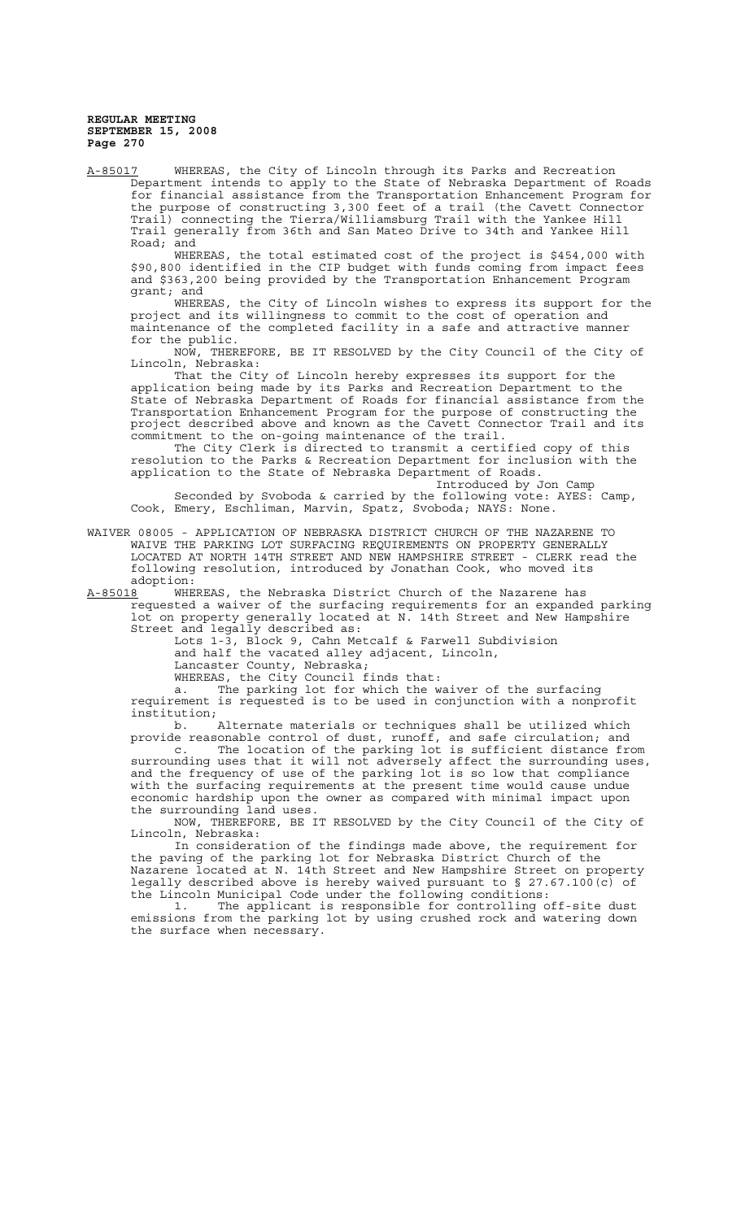A-85017 WHEREAS, the City of Lincoln through its Parks and Recreation Department intends to apply to the State of Nebraska Department of Roads for financial assistance from the Transportation Enhancement Program for the purpose of constructing 3,300 feet of a trail (the Cavett Connector Trail) connecting the Tierra/Williamsburg Trail with the Yankee Hill Trail generally from 36th and San Mateo Drive to 34th and Yankee Hill Road; and

WHEREAS, the total estimated cost of the project is \$454,000 with \$90,800 identified in the CIP budget with funds coming from impact fees and \$363,200 being provided by the Transportation Enhancement Program grant; and

WHEREAS, the City of Lincoln wishes to express its support for the project and its willingness to commit to the cost of operation and project and its willingness to commit to the cost of operation and<br>maintenance of the completed facility in a safe and attractive manner for the public.

NOW, THEREFORE, BE IT RESOLVED by the City Council of the City of Lincoln, Nebraska:

That the City of Lincoln hereby expresses its support for the application being made by its Parks and Recreation Department to the State of Nebraska Department of Roads for financial assistance from the Transportation Enhancement Program for the purpose of constructing the project described above and known as the Cavett Connector Trail and its commitment to the on-going maintenance of the trail.

The City Clerk is directed to transmit a certified copy of this resolution to the Parks & Recreation Department for inclusion with the application to the State of Nebraska Department of Roads.

Introduced by Jon Camp Seconded by Svoboda & carried by the following vote: AYES: Camp, Cook, Emery, Eschliman, Marvin, Spatz, Svoboda; NAYS: None.

WAIVER 08005 - APPLICATION OF NEBRASKA DISTRICT CHURCH OF THE NAZARENE TO WAIVE THE PARKING LOT SURFACING REQUIREMENTS ON PROPERTY GENERALLY LOCATED AT NORTH 14TH STREET AND NEW HAMPSHIRE STREET - CLERK read the following resolution, introduced by Jonathan Cook, who moved its adoption:

A-85018 WHEREAS, the Nebraska District Church of the Nazarene has requested a waiver of the surfacing requirements for an expanded parking lot on property generally located at N. 14th Street and New Hampshire Street and legally described as:

Lots 1-3, Block 9, Cahn Metcalf & Farwell Subdivision

and half the vacated alley adjacent, Lincoln,

Lancaster County, Nebraska;

WHEREAS, the City Council finds that:

a. The parking lot for which the waiver of the surfacing requirement is requested is to be used in conjunction with a nonprofit institution;

b. Alternate materials or techniques shall be utilized which provide reasonable control of dust, runoff, and safe circulation; and

c. The location of the parking lot is sufficient distance from surrounding uses that it will not adversely affect the surrounding uses, and the frequency of use of the parking lot is so low that compliance with the surfacing requirements at the present time would cause undue economic hardship upon the owner as compared with minimal impact upon the surrounding land uses.

NOW, THEREFORE, BE IT RESOLVED by the City Council of the City of Lincoln, Nebraska:

In consideration of the findings made above, the requirement for the paving of the parking lot for Nebraska District Church of the Nazarene located at N. 14th Street and New Hampshire Street on property legally described above is hereby waived pursuant to § 27.67.100(c) of the Lincoln Municipal Code under the following conditions:

1. The applicant is responsible for controlling off-site dust emissions from the parking lot by using crushed rock and watering down the surface when necessary.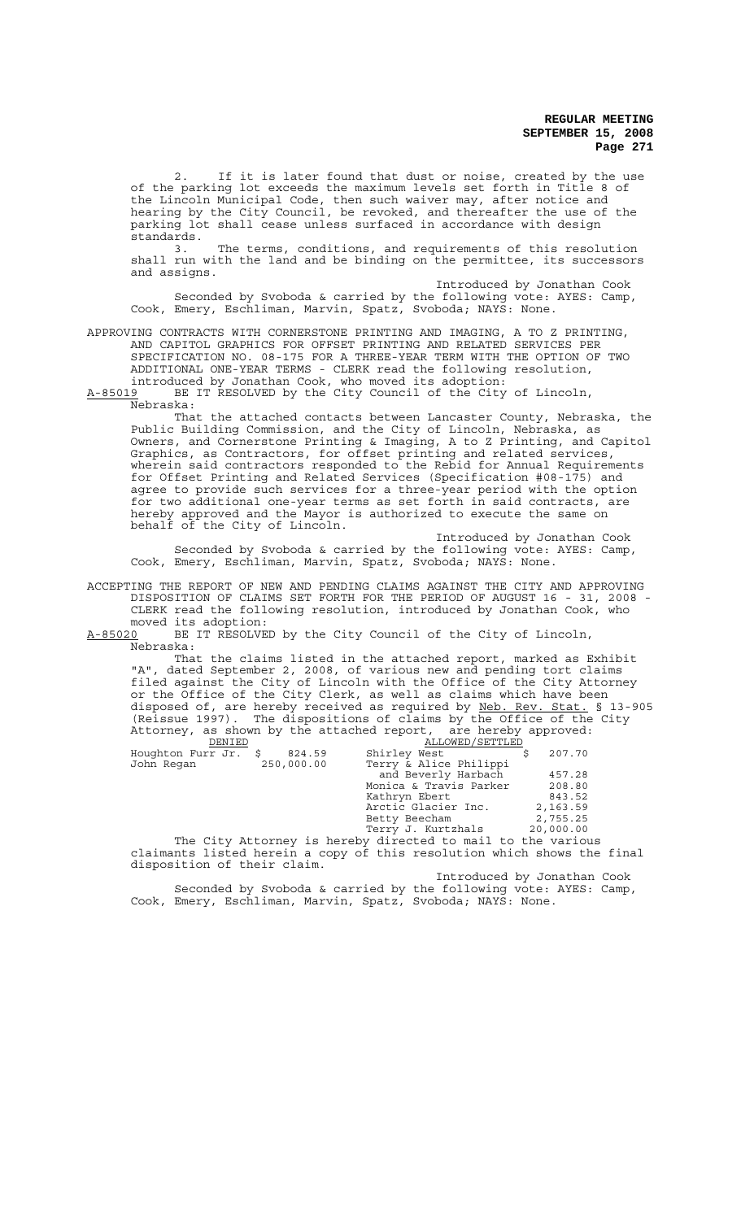2. If it is later found that dust or noise, created by the use of the parking lot exceeds the maximum levels set forth in Title 8 of the Lincoln Municipal Code, then such waiver may, after notice and hearing by the City Council, be revoked, and thereafter the use of the parking lot shall cease unless surfaced in accordance with design standards.

3. The terms, conditions, and requirements of this resolution shall run with the land and be binding on the permittee, its successors and assigns.

Introduced by Jonathan Cook Seconded by Svoboda & carried by the following vote: AYES: Camp, Cook, Emery, Eschliman, Marvin, Spatz, Svoboda; NAYS: None.

APPROVING CONTRACTS WITH CORNERSTONE PRINTING AND IMAGING, A TO Z PRINTING, AND CAPITOL GRAPHICS FOR OFFSET PRINTING AND RELATED SERVICES PER SPECIFICATION NO. 08-175 FOR A THREE-YEAR TERM WITH THE OPTION OF TWO ADDITIONAL ONE-YEAR TERMS - CLERK read the following resolution, introduced by Jonathan Cook, who moved its adoption:

A-85019 BE IT RESOLVED by the City Council of the City of Lincoln,  $A-85019$  BE  $\overline{R}$  Nebraska:

That the attached contacts between Lancaster County, Nebraska, the Public Building Commission, and the City of Lincoln, Nebraska, as Owners, and Cornerstone Printing & Imaging, A to Z Printing, and Capitol Graphics, as Contractors, for offset printing and related services, wherein said contractors responded to the Rebid for Annual Requirements for Offset Printing and Related Services (Specification #08-175) and agree to provide such services for a three-year period with the option for two additional one-year terms as set forth in said contracts, are hereby approved and the Mayor is authorized to execute the same on behalf of the City of Lincoln.

Introduced by Jonathan Cook Seconded by Svoboda & carried by the following vote: AYES: Camp, Cook, Emery, Eschliman, Marvin, Spatz, Svoboda; NAYS: None.

ACCEPTING THE REPORT OF NEW AND PENDING CLAIMS AGAINST THE CITY AND APPROVING DISPOSITION OF CLAIMS SET FORTH FOR THE PERIOD OF AUGUST 16 - 31, 2008 - CLERK read the following resolution, introduced by Jonathan Cook, who

moved its adoption:<br>A-85020 BE IT RESOLVE BE IT RESOLVED by the City Council of the City of Lincoln, Nebraska:

That the claims listed in the attached report, marked as Exhibit "A", dated September 2, 2008, of various new and pending tort claims filed against the City of Lincoln with the Office of the City Attorney or the Office of the City Clerk, as well as claims which have been disposed of, are hereby received as required by Neb. Rev. Stat. § 13-905 (Reissue 1997). The dispositions of claims by the Office of the City Attorney, as shown by the attached report, are hereby approved: DENIED ALLOWED/SETTLED

| Houghton Furr Jr. \$ | 824.59     | Shirley West                                                                                                   |  | 207.70    |
|----------------------|------------|----------------------------------------------------------------------------------------------------------------|--|-----------|
| John Regan           | 250,000.00 | Terry & Alice Philippi                                                                                         |  |           |
|                      |            | and Beverly Harbach                                                                                            |  | 457.28    |
|                      |            | Monica & Travis Parker                                                                                         |  | 208.80    |
|                      |            | Kathryn Ebert                                                                                                  |  | 843.52    |
|                      |            | Arctic Glacier Inc.                                                                                            |  | 2,163.59  |
|                      |            | Betty Beecham                                                                                                  |  | 2,755.25  |
|                      |            | Terry J. Kurtzhals                                                                                             |  | 20,000.00 |
| ________<br>$-1$     |            | in the state of the state of the state of the state of the state of the state of the state of the state of the |  |           |

The City Attorney is hereby directed to mail to the various claimants listed herein a copy of this resolution which shows the final disposition of their claim.

Introduced by Jonathan Cook Seconded by Svoboda & carried by the following vote: AYES: Camp, Cook, Emery, Eschliman, Marvin, Spatz, Svoboda; NAYS: None.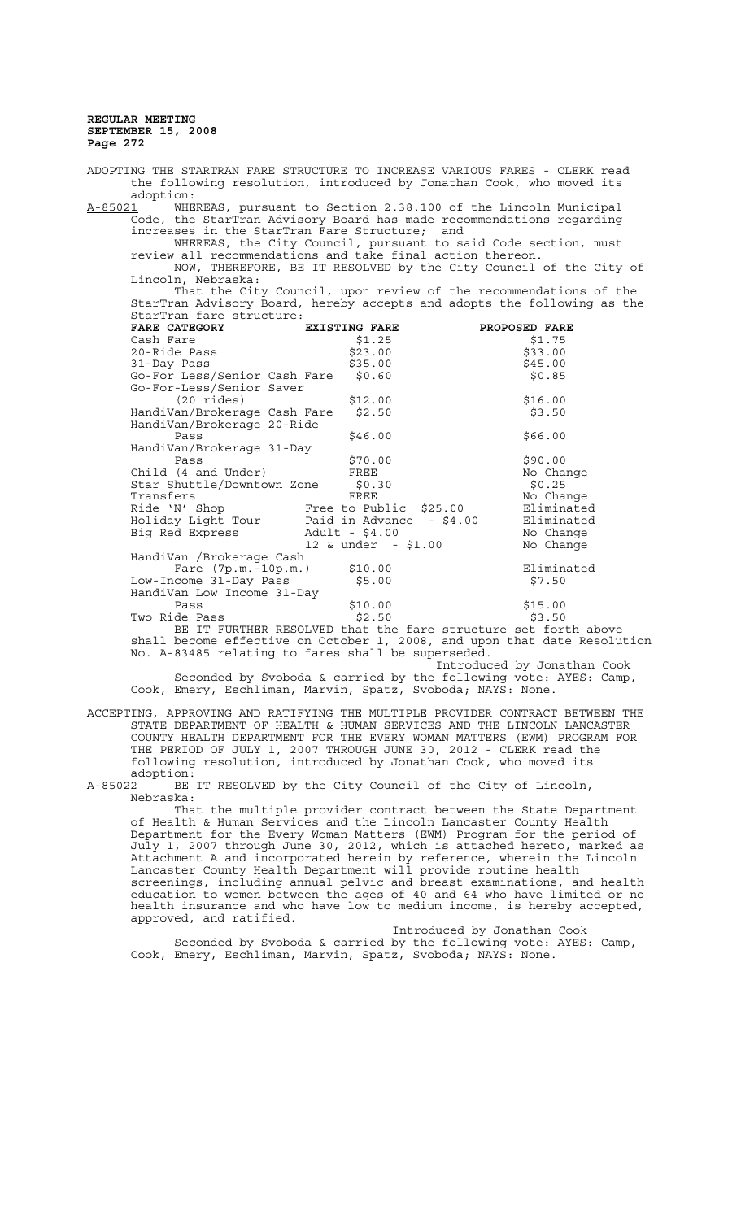ADOPTING THE STARTRAN FARE STRUCTURE TO INCREASE VARIOUS FARES - CLERK read the following resolution, introduced by Jonathan Cook, who moved its adoption:<br>A-85021 WHE WHEREAS, pursuant to Section 2.38.100 of the Lincoln Municipal Code, the StarTran Advisory Board has made recommendations regarding increases in the StarTran Fare Structure; and WHEREAS, the City Council, pursuant to said Code section, must review all recommendations and take final action thereon. NOW, THEREFORE, BE IT RESOLVED by the City Council of the City of Lincoln, Nebraska: That the City Council, upon review of the recommendations of the StarTran Advisory Board, hereby accepts and adopts the following as the StarTran fare structure: **FARE CATEGORY EXISTING FARE PROPOSED FARE** Cash Fare \$1.25 \$1.75 20-Ride Pass \$23.00 \$23.00 \$33.00 31-Day Pass \$35.00 \$35.00 Go-For Less/Senior Cash Fare \$0.60 \$0.85 Go-For-Less/Senior Saver (20 rides) \$12.00 \$16.00 HandiVan/Brokerage Cash Fare \$2.50 \$3.50 HandiVan/Brokerage 20-Ride  $\frac{1}{566.00}$   $\frac{1}{566.00}$ HandiVan/Brokerage 31-Day Pass \$70.00 \$90.00 Child (4 and Under) FREE No Changes and Under Star Shuttle/Downtown Zone \$0.30 Star Shuttle/Downtown Zone \$0.30 \$0.25 Transfers Transfers FREE FREE No Change<br>Ride 'N' Shop Free to Public \$25.00 Eliminated Free to Public \$25.00 Eliminated<br>Paid in Advance - \$4.00 Eliminated Paid in Advance - \$4.00 Eliminated<br>Adult - \$4.00 No Change And India and India and India and India and India and India and India<br>Big Red Express Adult - \$4.00 No Change<br>12 & under - \$1.00 No Change  $12$  & under - \$1.00 HandiVan /Brokerage Cash Fare (7p.m.-10p.m.) \$10.00 Eliminated Low-Income 31-Day Pass \$5.00 \$7.50 HandiVan Low Income 31-Day Pass \$10.00 \$15.00 Two Ride Pass  $$2.50$   $$3.50$ BE IT FURTHER RESOLVED that the fare structure set forth above

shall become effective on October 1, 2008, and upon that date Resolution No. A-83485 relating to fares shall be superseded.

Introduced by Jonathan Cook Seconded by Svoboda & carried by the following vote: AYES: Camp, Cook, Emery, Eschliman, Marvin, Spatz, Svoboda; NAYS: None.

ACCEPTING, APPROVING AND RATIFYING THE MULTIPLE PROVIDER CONTRACT BETWEEN THE STATE DEPARTMENT OF HEALTH & HUMAN SERVICES AND THE LINCOLN LANCASTER COUNTY HEALTH DEPARTMENT FOR THE EVERY WOMAN MATTERS (EWM) PROGRAM FOR THE PERIOD OF JULY 1, 2007 THROUGH JUNE 30, 2012 - CLERK read the following resolution, introduced by Jonathan Cook, who moved its adoption:

A-85022 BE IT RESOLVED by the City Council of the City of Lincoln, Nebraska:

That the multiple provider contract between the State Department of Health & Human Services and the Lincoln Lancaster County Health Department for the Every Woman Matters (EWM) Program for the period of July 1, 2007 through June 30, 2012, which is attached hereto, marked as Attachment A and incorporated herein by reference, wherein the Lincoln Lancaster County Health Department will provide routine health screenings, including annual pelvic and breast examinations, and health education to women between the ages of 40 and 64 who have limited or no health insurance and who have low to medium income, is hereby accepted, approved, and ratified.

Introduced by Jonathan Cook Seconded by Svoboda & carried by the following vote: AYES: Camp, Cook, Emery, Eschliman, Marvin, Spatz, Svoboda; NAYS: None.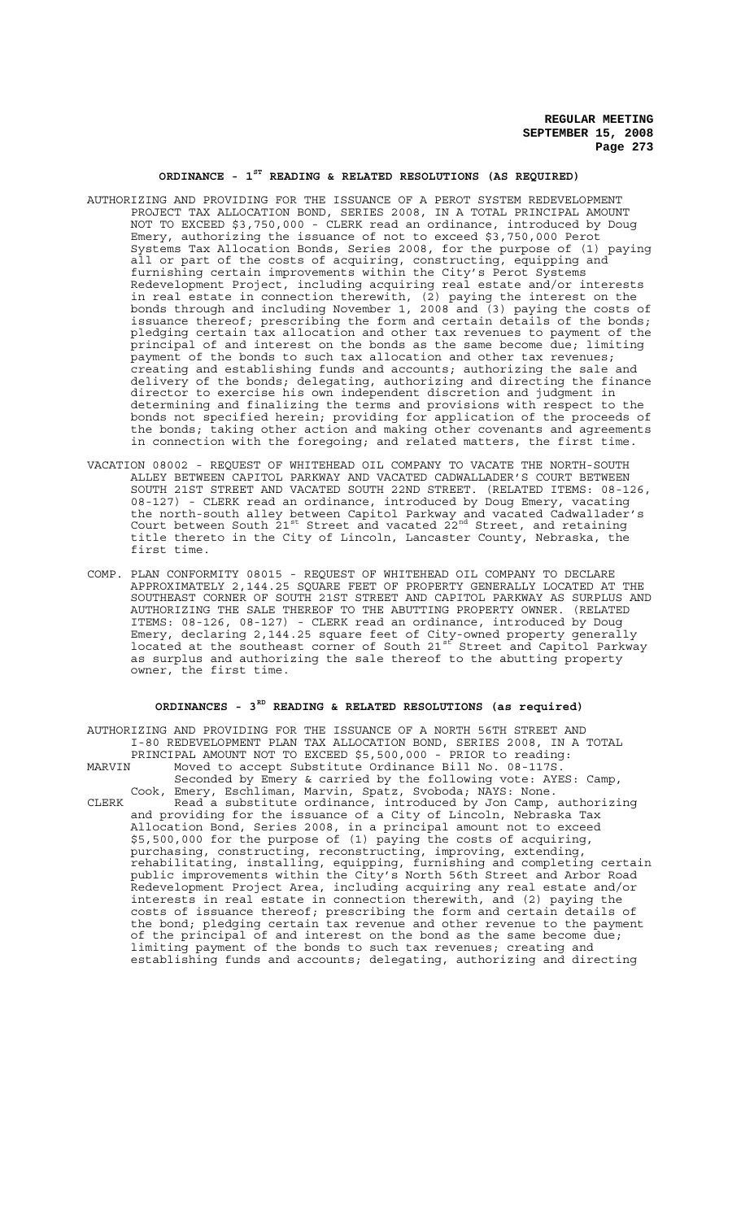### **ORDINANCE - 1ST READING & RELATED RESOLUTIONS (AS REQUIRED)**

- AUTHORIZING AND PROVIDING FOR THE ISSUANCE OF A PEROT SYSTEM REDEVELOPMENT PROJECT TAX ALLOCATION BOND, SERIES 2008, IN A TOTAL PRINCIPAL AMOUNT NOT TO EXCEED \$3,750,000 - CLERK read an ordinance, introduced by Doug Emery, authorizing the issuance of not to exceed \$3,750,000 Perot Systems Tax Allocation Bonds, Series 2008, for the purpose of (1) paying all or part of the costs of acquiring, constructing, equipping and furnishing certain improvements within the City's Perot Systems Redevelopment Project, including acquiring real estate and/or interests in real estate in connection therewith, (2) paying the interest on the bonds through and including November 1, 2008 and (3) paying the costs of issuance thereof; prescribing the form and certain details of the bonds; pledging certain tax allocation and other tax revenues to payment of the principal of and interest on the bonds as the same become due; limiting payment of the bonds to such tax allocation and other tax revenues; creating and establishing funds and accounts; authorizing the sale and delivery of the bonds; delegating, authorizing and directing the finance director to exercise his own independent discretion and judgment in determining and finalizing the terms and provisions with respect to the bonds not specified herein; providing for application of the proceeds of the bonds; taking other action and making other covenants and agreements in connection with the foregoing; and related matters, the first time.
- VACATION 08002 REQUEST OF WHITEHEAD OIL COMPANY TO VACATE THE NORTH-SOUTH ALLEY BETWEEN CAPITOL PARKWAY AND VACATED CADWALLADER'S COURT BETWEEN SOUTH 21ST STREET AND VACATED SOUTH 22ND STREET. (RELATED ITEMS: 08-126, 08-127) - CLERK read an ordinance, introduced by Doug Emery, vacating the north-south alley between Capitol Parkway and vacated Cadwallader's Court between South  $21^{st}$  Street and vacated  $22^{nd}$  Street, and retaining title thereto in the City of Lincoln, Lancaster County, Nebraska, the first time.
- COMP. PLAN CONFORMITY 08015 REQUEST OF WHITEHEAD OIL COMPANY TO DECLARE APPROXIMATELY 2,144.25 SQUARE FEET OF PROPERTY GENERALLY LOCATED AT THE SOUTHEAST CORNER OF SOUTH 21ST STREET AND CAPITOL PARKWAY AS SURPLUS AND AUTHORIZING THE SALE THEREOF TO THE ABUTTING PROPERTY OWNER. (RELATED ITEMS: 08-126, 08-127) - CLERK read an ordinance, introduced by Doug Emery, declaring 2,144.25 square feet of City-owned property generally located at the southeast corner of South 21st Street and Capitol Parkway as surplus and authorizing the sale thereof to the abutting property owner, the first time.

# **ORDINANCES - 3RD READING & RELATED RESOLUTIONS (as required)**

AUTHORIZING AND PROVIDING FOR THE ISSUANCE OF A NORTH 56TH STREET AND I-80 REDEVELOPMENT PLAN TAX ALLOCATION BOND, SERIES 2008, IN A TOTAL PRINCIPAL AMOUNT NOT TO EXCEED \$5,500,000 - PRIOR to reading: MARVIN Moved to accept Substitute Ordinance Bill No. 08-117S

Seconded by Emery & carried by the following vote: AYES: Camp, Cook, Emery, Eschliman, Marvin, Spatz, Svoboda; NAYS: None.

CLERK Read a substitute ordinance, introduced by Jon Camp, authorizing and providing for the issuance of a City of Lincoln, Nebraska Tax Allocation Bond, Series 2008, in a principal amount not to exceed \$5,500,000 for the purpose of (1) paying the costs of acquiring, purchasing, constructing, reconstructing, improving, extending, rehabilitating, installing, equipping, furnishing and completing certain public improvements within the City's North 56th Street and Arbor Road Redevelopment Project Area, including acquiring any real estate and/or interests in real estate in connection therewith, and (2) paying the costs of issuance thereof; prescribing the form and certain details of the bond; pledging certain tax revenue and other revenue to the payment of the principal of and interest on the bond as the same become due; limiting payment of the bonds to such tax revenues; creating and establishing funds and accounts; delegating, authorizing and directing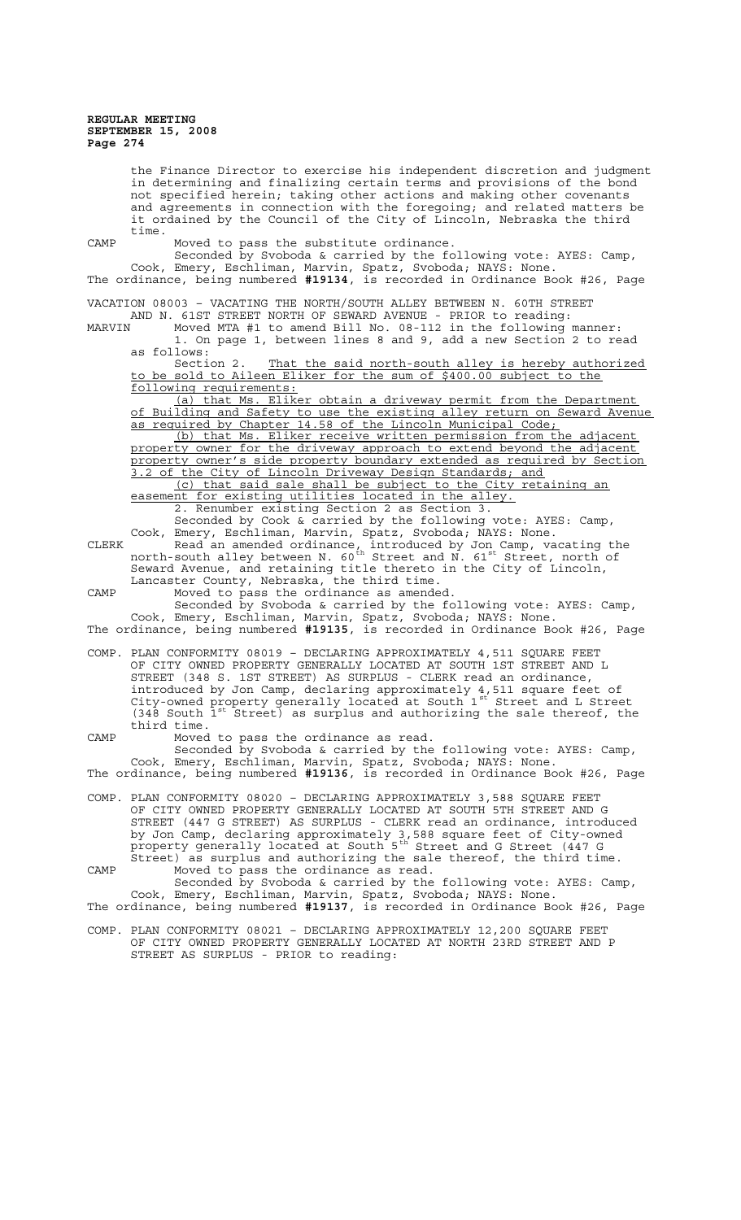the Finance Director to exercise his independent discretion and judgment in determining and finalizing certain terms and provisions of the bond not specified herein; taking other actions and making other covenants and agreements in connection with the foregoing; and related matters be it ordained by the Council of the City of Lincoln, Nebraska the third time. CAMP Moved to pass the substitute ordinance. Seconded by Svoboda & carried by the following vote: AYES: Camp, Cook, Emery, Eschliman, Marvin, Spatz, Svoboda; NAYS: None. The ordinance, being numbered **#19134**, is recorded in Ordinance Book #26, Page VACATION 08003 – VACATING THE NORTH/SOUTH ALLEY BETWEEN N. 60TH STREET AND N. 61ST STREET NORTH OF SEWARD AVENUE - PRIOR to reading: MARVIN Moved MTA #1 to amend Bill No. 08-112 in the following manner: 1. On page 1, between lines 8 and 9, add a new Section 2 to read as follows: Section 2. That the said north-south alley is hereby authorized to be sold to Aileen Eliker for the sum of \$400.00 subject to the following requirements: (a) that Ms. Eliker obtain a driveway permit from the Department of Building and Safety to use the existing alley return on Seward Avenue as required by Chapter 14.58 of the Lincoln Municipal Code; (b) that Ms. Eliker receive written permission from the adjacent property owner for the driveway approach to extend beyond the adjacent property owner's side property boundary extended as required by Section 3.2 of the City of Lincoln Driveway Design Standards; and (c) that said sale shall be subject to the City retaining an easement for existing utilities located in the alley. 2. Renumber existing Section 2 as Section 3. Seconded by Cook & carried by the following vote: AYES: Camp, Cook, Emery, Eschliman, Marvin, Spatz, Svoboda; NAYS: None. CLERK Read an amended ordinance, introduced by Jon Camp, vacating the north-south alley between N. 60<sup>th</sup> Street and N. 61<sup>st</sup> Street, north of Seward Avenue, and retaining title thereto in the City of Lincoln, Lancaster County, Nebraska, the third time. CAMP Moved to pass the ordinance as amended. Seconded by Svoboda & carried by the following vote: AYES: Camp, Cook, Emery, Eschliman, Marvin, Spatz, Svoboda; NAYS: None. The ordinance, being numbered **#19135**, is recorded in Ordinance Book #26, Page COMP. PLAN CONFORMITY 08019 – DECLARING APPROXIMATELY 4,511 SQUARE FEET OF CITY OWNED PROPERTY GENERALLY LOCATED AT SOUTH 1ST STREET AND L STREET (348 S. 1ST STREET) AS SURPLUS - CLERK read an ordinance, introduced by Jon Camp, declaring approximately 4,511 square feet of City-owned property generally located at South 1st Street and L Street  $(348$  South  $1^{st}$  Street) as surplus and authorizing the sale thereof, the third time. CAMP Moved to pass the ordinance as read. Seconded by Svoboda & carried by the following vote: AYES: Camp, Cook, Emery, Eschliman, Marvin, Spatz, Svoboda; NAYS: None. The ordinance, being numbered **#19136**, is recorded in Ordinance Book #26, Page COMP. PLAN CONFORMITY 08020 – DECLARING APPROXIMATELY 3,588 SQUARE FEET OF CITY OWNED PROPERTY GENERALLY LOCATED AT SOUTH 5TH STREET AND G STREET (447 G STREET) AS SURPLUS - CLERK read an ordinance, introduced by Jon Camp, declaring approximately 3,588 square feet of City-owned property generally located at South 5<sup>th</sup> Street and G Street (447 G Street) as surplus and authorizing the sale thereof, the third time. CAMP Moved to pass the ordinance as read. Seconded by Svoboda & carried by the following vote: AYES: Camp, Cook, Emery, Eschliman, Marvin, Spatz, Svoboda; NAYS: None. The ordinance, being numbered **#19137**, is recorded in Ordinance Book #26, Page COMP. PLAN CONFORMITY 08021 – DECLARING APPROXIMATELY 12,200 SQUARE FEET OF CITY OWNED PROPERTY GENERALLY LOCATED AT NORTH 23RD STREET AND P STREET AS SURPLUS - PRIOR to reading: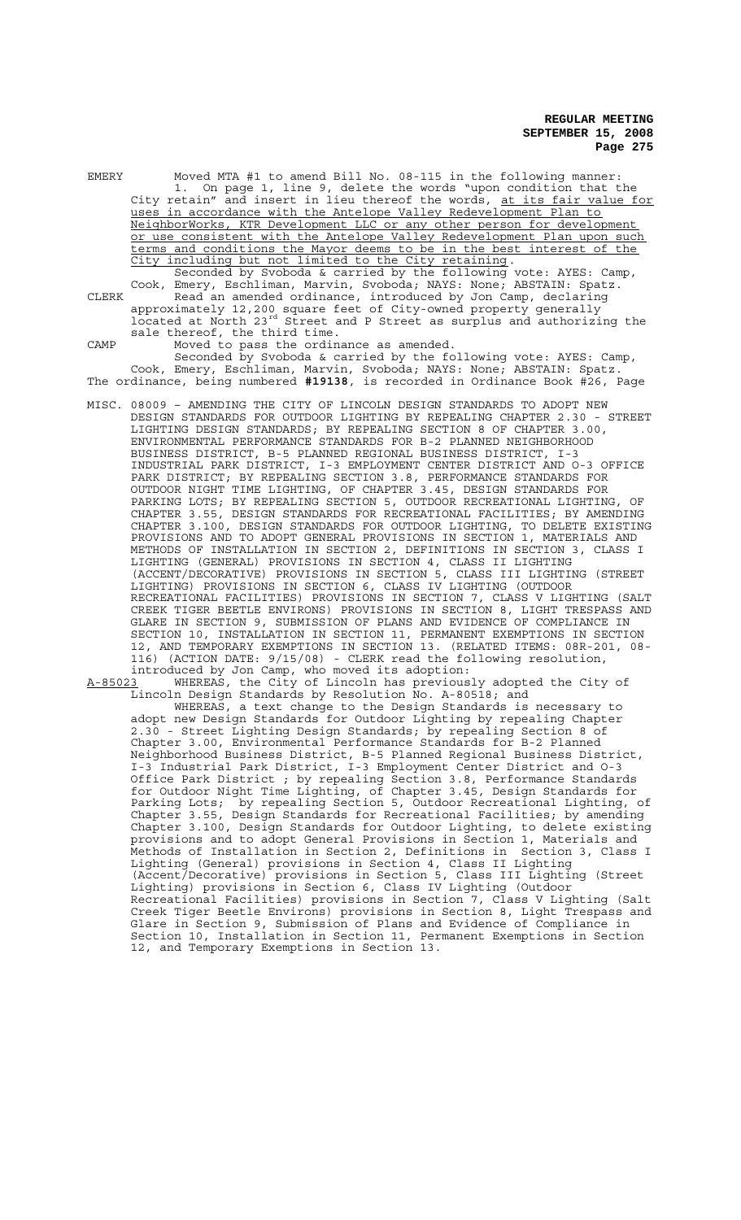EMERY Moved MTA #1 to amend Bill No. 08-115 in the following manner: 1. On page 1, line 9, delete the words "upon condition that the City retain" and insert in lieu thereof the words, at its fair value for uses in accordance with the Antelope Valley Redevelopment Plan to NeighborWorks, KTR Development LLC or any other person for development or use consistent with the Antelope Valley Redevelopment Plan upon such terms and conditions the Mayor deems to be in the best interest of the City including but not limited to the City retaining. Seconded by Svoboda & carried by the following vote: AYES: Camp, Cook, Emery, Eschliman, Marvin, Svoboda; NAYS: None; ABSTAIN: Spatz. CLERK Read an amended ordinance, introduced by Jon Camp, declaring approximately 12,200 square feet of City-owned property generally located at North 23rd Street and P Street as surplus and authorizing the sale thereof, the third time. CAMP Moved to pass the ordinance as amended. Seconded by Svoboda & carried by the following vote: AYES: Camp, Cook, Emery, Eschliman, Marvin, Svoboda; NAYS: None; ABSTAIN: Spatz. The ordinance, being numbered **#19138**, is recorded in Ordinance Book #26, Page MISC. 08009 – AMENDING THE CITY OF LINCOLN DESIGN STANDARDS TO ADOPT NEW DESIGN STANDARDS FOR OUTDOOR LIGHTING BY REPEALING CHAPTER 2.30 - STREET LIGHTING DESIGN STANDARDS; BY REPEALING SECTION 8 OF CHAPTER 3.00, ENVIRONMENTAL PERFORMANCE STANDARDS FOR B-2 PLANNED NEIGHBORHOOD BUSINESS DISTRICT, B-5 PLANNED REGIONAL BUSINESS DISTRICT, I-3 INDUSTRIAL PARK DISTRICT, I-3 EMPLOYMENT CENTER DISTRICT AND O-3 OFFICE PARK DISTRICT; BY REPEALING SECTION 3.8, PERFORMANCE STANDARDS FOR OUTDOOR NIGHT TIME LIGHTING, OF CHAPTER 3.45, DESIGN STANDARDS FOR PARKING LOTS; BY REPEALING SECTION 5, OUTDOOR RECREATIONAL LIGHTING, OF CHAPTER 3.55, DESIGN STANDARDS FOR RECREATIONAL FACILITIES; BY AMENDING CHAPTER 3.100, DESIGN STANDARDS FOR OUTDOOR LIGHTING, TO DELETE EXISTING PROVISIONS AND TO ADOPT GENERAL PROVISIONS IN SECTION 1, MATERIALS AND METHODS OF INSTALLATION IN SECTION 2, DEFINITIONS IN SECTION 3, CLASS I LIGHTING (GENERAL) PROVISIONS IN SECTION 4, CLASS II LIGHTING (ACCENT/DECORATIVE) PROVISIONS IN SECTION 5, CLASS III LIGHTING (STREET LIGHTING) PROVISIONS IN SECTION 6, CLASS IV LIGHTING (OUTDOOR RECREATIONAL FACILITIES) PROVISIONS IN SECTION 7, CLASS V LIGHTING (SALT CREEK TIGER BEETLE ENVIRONS) PROVISIONS IN SECTION 8, LIGHT TRESPASS AND GLARE IN SECTION 9, SUBMISSION OF PLANS AND EVIDENCE OF COMPLIANCE IN SECTION 10, INSTALLATION IN SECTION 11, PERMANENT EXEMPTIONS IN SECTION

- 12, AND TEMPORARY EXEMPTIONS IN SECTION 13. (RELATED ITEMS: 08R-201, 08-116) (ACTION DATE: 9/15/08) - CLERK read the following resolution, introduced by Jon Camp, who moved its adoption:
- A-85023 WHEREAS, the City of Lincoln has previously adopted the City of Lincoln Design Standards by Resolution No. A-80518; and

WHEREAS, a text change to the Design Standards is necessary to adopt new Design Standards for Outdoor Lighting by repealing Chapter 2.30 - Street Lighting Design Standards; by repealing Section 8 of Chapter 3.00, Environmental Performance Standards for B-2 Planned Neighborhood Business District, B-5 Planned Regional Business District, I-3 Industrial Park District, I-3 Employment Center District and O-3 Office Park District ; by repealing Section 3.8, Performance Standards for Outdoor Night Time Lighting, of Chapter 3.45, Design Standards for Parking Lots; by repealing Section 5, Outdoor Recreational Lighting, of Chapter 3.55, Design Standards for Recreational Facilities; by amending Chapter 3.100, Design Standards for Outdoor Lighting, to delete existing provisions and to adopt General Provisions in Section 1, Materials and Methods of Installation in Section 2, Definitions in Section 3, Class I Lighting (General) provisions in Section 4, Class II Lighting (Accent/Decorative) provisions in Section 5, Class III Lighting (Street Lighting) provisions in Section 6, Class IV Lighting (Outdoor Recreational Facilities) provisions in Section 7, Class V Lighting (Salt Creek Tiger Beetle Environs) provisions in Section 8, Light Trespass and Glare in Section 9, Submission of Plans and Evidence of Compliance in Section 10, Installation in Section 11, Permanent Exemptions in Section 12, and Temporary Exemptions in Section 13.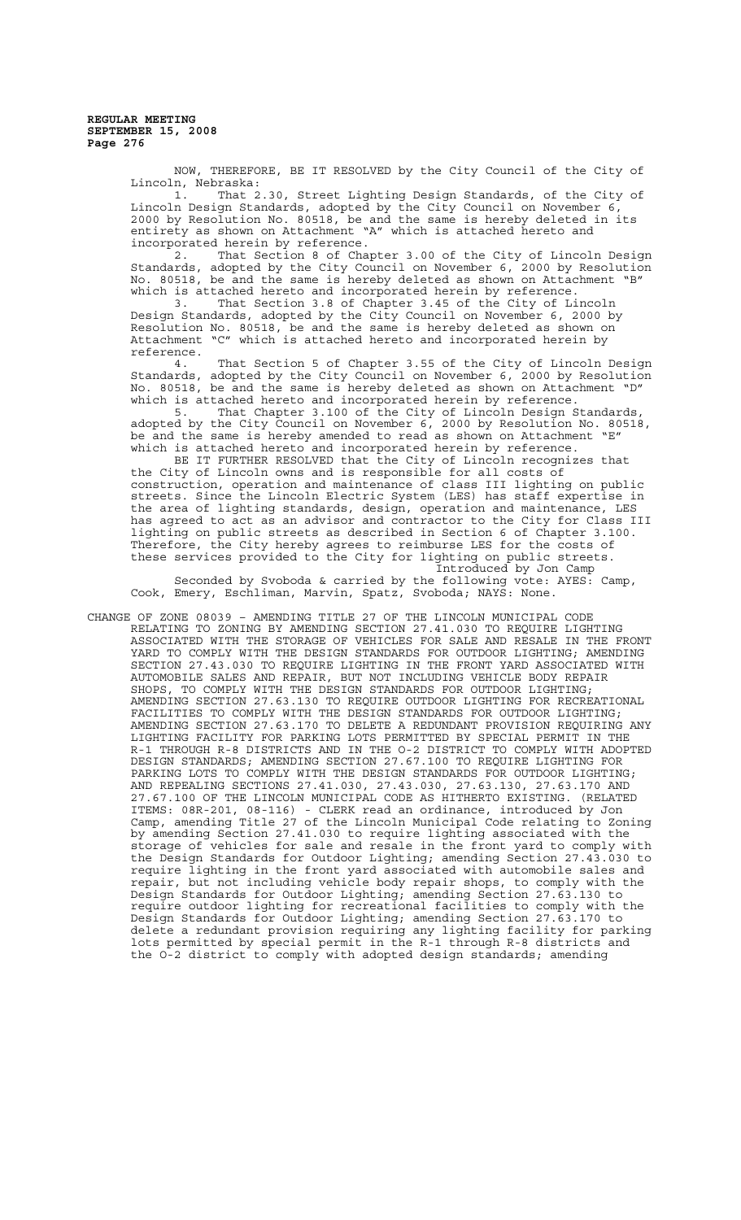> NOW, THEREFORE, BE IT RESOLVED by the City Council of the City of Lincoln, Nebraska:

> 1. That 2.30, Street Lighting Design Standards, of the City of Lincoln Design Standards, adopted by the City Council on November 6, 2000 by Resolution No. 80518, be and the same is hereby deleted in its entirety as shown on Attachment "A" which is attached hereto and incorporated herein by reference.

2. That Section 8 of Chapter 3.00 of the City of Lincoln Design Standards, adopted by the City Council on November 6, 2000 by Resolution No. 80518, be and the same is hereby deleted as shown on Attachment "B" which is attached hereto and incorporated herein by reference.<br> $3.45$  of the City of Li

That Section 3.8 of Chapter 3.45 of the City of Lincoln Design Standards, adopted by the City Council on November 6, 2000 by Resolution No. 80518, be and the same is hereby deleted as shown on Attachment "C" which is attached hereto and incorporated herein by reference.

4. That Section 5 of Chapter 3.55 of the City of Lincoln Design Standards, adopted by the City Council on November 6, 2000 by Resolution No. 80518, be and the same is hereby deleted as shown on Attachment "D" which is attached hereto and incorporated herein by reference.

5. That Chapter 3.100 of the City of Lincoln Design Standards, adopted by the City Council on November 6, 2000 by Resolution No. 80518, be and the same is hereby amended to read as shown on Attachment "E" which is attached hereto and incorporated herein by reference.

BE IT FURTHER RESOLVED that the City of Lincoln recognizes that the City of Lincoln owns and is responsible for all costs of construction, operation and maintenance of class III lighting on public streets. Since the Lincoln Electric System (LES) has staff expertise in the area of lighting standards, design, operation and maintenance, LES has agreed to act as an advisor and contractor to the City for Class III lighting on public streets as described in Section 6 of Chapter 3.100. Therefore, the City hereby agrees to reimburse LES for the costs of these services provided to the City for lighting on public streets. Introduced by Jon Camp

Seconded by Svoboda & carried by the following vote: AYES: Camp, Cook, Emery, Eschliman, Marvin, Spatz, Svoboda; NAYS: None.

CHANGE OF ZONE 08039 – AMENDING TITLE 27 OF THE LINCOLN MUNICIPAL CODE RELATING TO ZONING BY AMENDING SECTION 27.41.030 TO REQUIRE LIGHTING ASSOCIATED WITH THE STORAGE OF VEHICLES FOR SALE AND RESALE IN THE FRONT YARD TO COMPLY WITH THE DESIGN STANDARDS FOR OUTDOOR LIGHTING; AMENDING SECTION 27.43.030 TO REQUIRE LIGHTING IN THE FRONT YARD ASSOCIATED WITH AUTOMOBILE SALES AND REPAIR, BUT NOT INCLUDING VEHICLE BODY REPAIR SHOPS, TO COMPLY WITH THE DESIGN STANDARDS FOR OUTDOOR LIGHTING; AMENDING SECTION 27.63.130 TO REQUIRE OUTDOOR LIGHTING FOR RECREATIONAL FACILITIES TO COMPLY WITH THE DESIGN STANDARDS FOR OUTDOOR LIGHTING; AMENDING SECTION 27.63.170 TO DELETE A REDUNDANT PROVISION REQUIRING ANY LIGHTING FACILITY FOR PARKING LOTS PERMITTED BY SPECIAL PERMIT IN THE R-1 THROUGH R-8 DISTRICTS AND IN THE O-2 DISTRICT TO COMPLY WITH ADOPTED DESIGN STANDARDS; AMENDING SECTION 27.67.100 TO REQUIRE LIGHTING FOR PARKING LOTS TO COMPLY WITH THE DESIGN STANDARDS FOR OUTDOOR LIGHTING; AND REPEALING SECTIONS 27.41.030, 27.43.030, 27.63.130, 27.63.170 AND 27.67.100 OF THE LINCOLN MUNICIPAL CODE AS HITHERTO EXISTING. (RELATED ITEMS: 08R-201, 08-116) - CLERK read an ordinance, introduced by Jon Camp, amending Title 27 of the Lincoln Municipal Code relating to Zoning by amending Section 27.41.030 to require lighting associated with the<br>storage of vehicles for sale and resale in the front vard to comply with storage of vehicles for sale and resale in the front yard to comply the Design Standards for Outdoor Lighting; amending Section 27.43.030 to require lighting in the front yard associated with automobile sales and repair, but not including vehicle body repair shops, to comply with the Design Standards for Outdoor Lighting; amending Section 27.63.130 to require outdoor lighting for recreational facilities to comply with the Design Standards for Outdoor Lighting; amending Section 27.63.170 to delete a redundant provision requiring any lighting facility for parking lots permitted by special permit in the R-1 through R-8 districts and the O-2 district to comply with adopted design standards; amending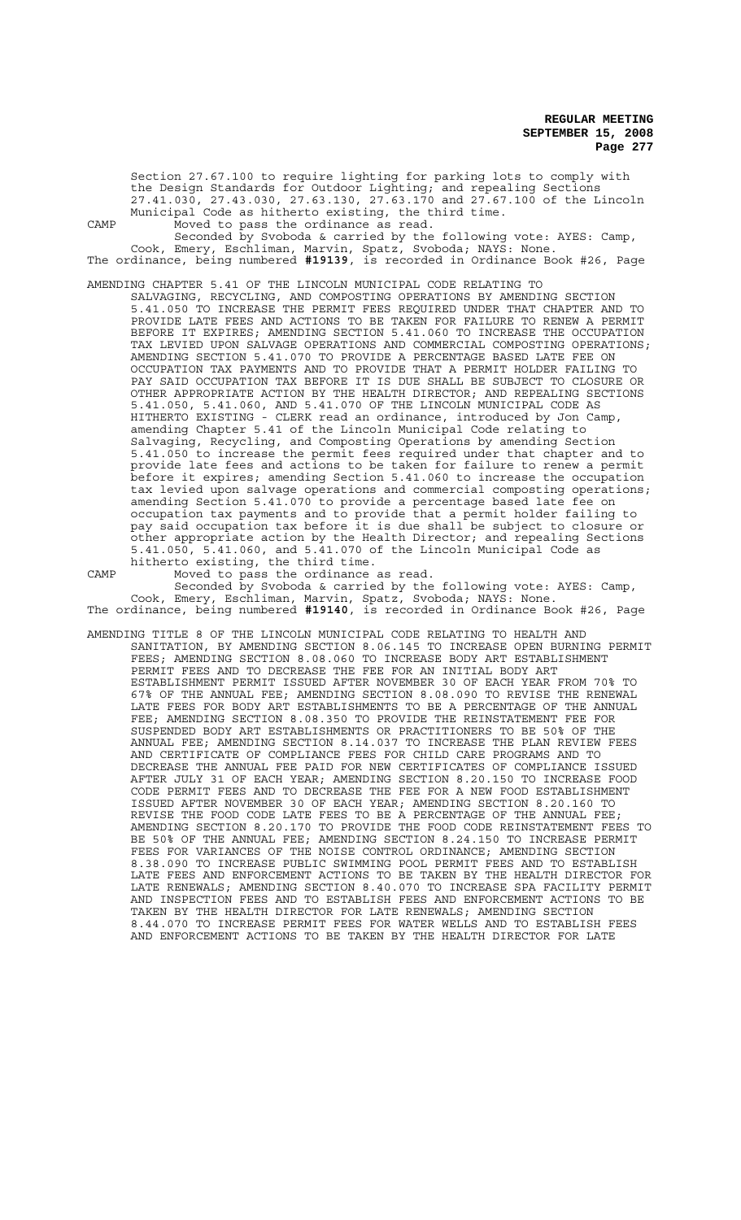Section 27.67.100 to require lighting for parking lots to comply with the Design Standards for Outdoor Lighting; and repealing Sections 27.41.030, 27.43.030, 27.63.130, 27.63.170 and 27.67.100 of the Lincoln Municipal Code as hitherto existing, the third time. CAMP Moved to pass the ordinance as read.

Seconded by Svoboda & carried by the following vote: AYES: Camp, Cook, Emery, Eschliman, Marvin, Spatz, Svoboda; NAYS: None. The ordinance, being numbered **#19139**, is recorded in Ordinance Book #26, Page

AMENDING CHAPTER 5.41 OF THE LINCOLN MUNICIPAL CODE RELATING TO

SALVAGING, RECYCLING, AND COMPOSTING OPERATIONS BY AMENDING SECTION 5.41.050 TO INCREASE THE PERMIT FEES REQUIRED UNDER THAT CHAPTER AND TO PROVIDE LATE FEES AND ACTIONS TO BE TAKEN FOR FAILURE TO RENEW A PERMIT BEFORE IT EXPIRES; AMENDING SECTION 5.41.060 TO INCREASE THE OCCUPATION TAX LEVIED UPON SALVAGE OPERATIONS AND COMMERCIAL COMPOSTING OPERATIONS; AMENDING SECTION 5.41.070 TO PROVIDE A PERCENTAGE BASED LATE FEE ON OCCUPATION TAX PAYMENTS AND TO PROVIDE THAT A PERMIT HOLDER FAILING TO PAY SAID OCCUPATION TAX BEFORE IT IS DUE SHALL BE SUBJECT TO CLOSURE OR OTHER APPROPRIATE ACTION BY THE HEALTH DIRECTOR; AND REPEALING SECTIONS 5.41.050, 5.41.060, AND 5.41.070 OF THE LINCOLN MUNICIPAL CODE AS HITHERTO EXISTING - CLERK read an ordinance, introduced by Jon Camp, amending Chapter 5.41 of the Lincoln Municipal Code relating to Salvaging, Recycling, and Composting Operations by amending Section 5.41.050 to increase the permit fees required under that chapter and to provide late fees and actions to be taken for failure to renew a permit before it expires; amending Section 5.41.060 to increase the occupation tax levied upon salvage operations and commercial composting operations; amending Section 5.41.070 to provide a percentage based late fee on occupation tax payments and to provide that a permit holder failing to pay said occupation tax before it is due shall be subject to closure or other appropriate action by the Health Director; and repealing Sections 5.41.050, 5.41.060, and 5.41.070 of the Lincoln Municipal Code as hitherto existing, the third time.

CAMP Moved to pass the ordinance as read.

Seconded by Svoboda & carried by the following vote: AYES: Camp, Cook, Emery, Eschliman, Marvin, Spatz, Svoboda; NAYS: None. The ordinance, being numbered **#19140**, is recorded in Ordinance Book #26, Page

AMENDING TITLE 8 OF THE LINCOLN MUNICIPAL CODE RELATING TO HEALTH AND SANITATION, BY AMENDING SECTION 8.06.145 TO INCREASE OPEN BURNING PERMIT FEES; AMENDING SECTION 8.08.060 TO INCREASE BODY ART ESTABLISHMENT PERMIT FEES AND TO DECREASE THE FEE FOR AN INITIAL BODY ART ESTABLISHMENT PERMIT ISSUED AFTER NOVEMBER 30 OF EACH YEAR FROM 70% TO 67% OF THE ANNUAL FEE; AMENDING SECTION 8.08.090 TO REVISE THE RENEWAL LATE FEES FOR BODY ART ESTABLISHMENTS TO BE A PERCENTAGE OF THE ANNUAL FEE; AMENDING SECTION 8.08.350 TO PROVIDE THE REINSTATEMENT FEE FOR SUSPENDED BODY ART ESTABLISHMENTS OR PRACTITIONERS TO BE 50% OF THE ANNUAL FEE; AMENDING SECTION 8.14.037 TO INCREASE THE PLAN REVIEW FEES AND CERTIFICATE OF COMPLIANCE FEES FOR CHILD CARE PROGRAMS AND TO DECREASE THE ANNUAL FEE PAID FOR NEW CERTIFICATES OF COMPLIANCE ISSUED AFTER JULY 31 OF EACH YEAR; AMENDING SECTION 8.20.150 TO INCREASE FOOD CODE PERMIT FEES AND TO DECREASE THE FEE FOR A NEW FOOD ESTABLISHMENT ISSUED AFTER NOVEMBER 30 OF EACH YEAR; AMENDING SECTION 8.20.160 TO REVISE THE FOOD CODE LATE FEES TO BE A PERCENTAGE OF THE ANNUAL FEE; AMENDING SECTION 8.20.170 TO PROVIDE THE FOOD CODE REINSTATEMENT FEES TO BE 50% OF THE ANNUAL FEE; AMENDING SECTION 8.24.150 TO INCREASE PERMIT FEES FOR VARIANCES OF THE NOISE CONTROL ORDINANCE; AMENDING SECTION 8.38.090 TO INCREASE PUBLIC SWIMMING POOL PERMIT FEES AND TO ESTABLISH LATE FEES AND ENFORCEMENT ACTIONS TO BE TAKEN BY THE HEALTH DIRECTOR FOR LATE RENEWALS; AMENDING SECTION 8.40.070 TO INCREASE SPA FACILITY PERMIT AND INSPECTION FEES AND TO ESTABLISH FEES AND ENFORCEMENT ACTIONS TO BE TAKEN BY THE HEALTH DIRECTOR FOR LATE RENEWALS; AMENDING SECTION 8.44.070 TO INCREASE PERMIT FEES FOR WATER WELLS AND TO ESTABLISH FEES AND ENFORCEMENT ACTIONS TO BE TAKEN BY THE HEALTH DIRECTOR FOR LATE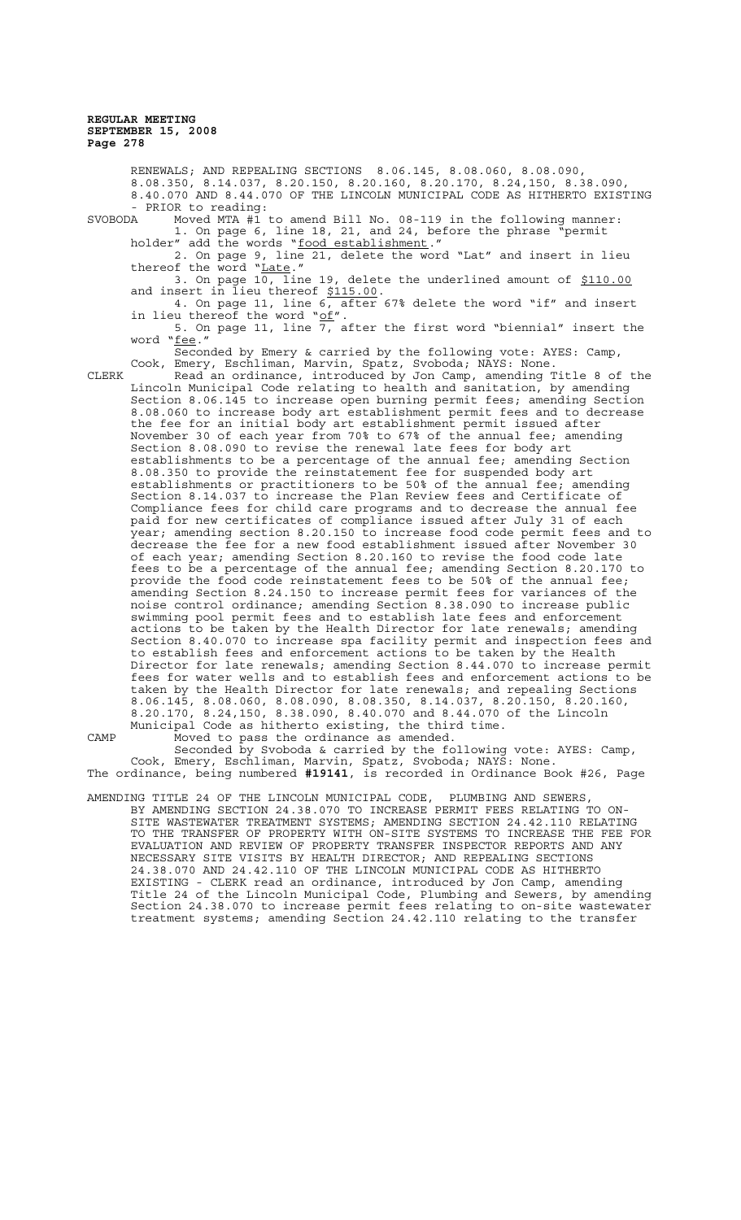RENEWALS; AND REPEALING SECTIONS 8.06.145, 8.08.060, 8.08.090, 8.08.350, 8.14.037, 8.20.150, 8.20.160, 8.20.170, 8.24,150, 8.38.090, 8.40.070 AND 8.44.070 OF THE LINCOLN MUNICIPAL CODE AS HITHERTO EXISTING - PRIOR to reading: SVOBODA Moved MTA #1 to amend Bill No. 08-119 in the following manner: 1. On page 6, line 18, 21, and 24, before the phrase "permit holder" add the words "food establishment." 2. On page 9, line 21, delete the word "Lat" and insert in lieu thereof the word "Late." 3. On page 10, line 19, delete the underlined amount of \$110.00 and insert in lieu thereof \$115.00. 4. On page 11, line 6, after 67% delete the word "if" and insert in lieu thereof the word "of". 5. On page 11, line 7, after the first word "biennial" insert the word "<u>fee</u>." Seconded by Emery & carried by the following vote: AYES: Camp, Cook, Emery, Eschliman, Marvin, Spatz, Svoboda; NAYS: None. CLERK Read an ordinance, introduced by Jon Camp, amending Title 8 of the Lincoln Municipal Code relating to health and sanitation, by amending Section 8.06.145 to increase open burning permit fees; amending Section 8.08.060 to increase body art establishment permit fees and to decrease the fee for an initial body art establishment permit issued after November 30 of each year from 70% to 67% of the annual fee; amending Section 8.08.090 to revise the renewal late fees for body art establishments to be a percentage of the annual fee; amending Section 8.08.350 to provide the reinstatement fee for suspended body art establishments or practitioners to be 50% of the annual fee; amending Section 8.14.037 to increase the Plan Review fees and Certificate of Compliance fees for child care programs and to decrease the annual fee paid for new certificates of compliance issued after July 31 of each year; amending section 8.20.150 to increase food code permit fees and to decrease the fee for a new food establishment issued after November 30 of each year; amending Section 8.20.160 to revise the food code late fees to be a percentage of the annual fee; amending Section 8.20.170 to provide the food code reinstatement fees to be 50% of the annual fee; amending Section 8.24.150 to increase permit fees for variances of the noise control ordinance; amending Section 8.38.090 to increase public swimming pool permit fees and to establish late fees and enforcement actions to be taken by the Health Director for late renewals; amending Section 8.40.070 to increase spa facility permit and inspection fees and to establish fees and enforcement actions to be taken by the Health Director for late renewals; amending Section 8.44.070 to increase permit fees for water wells and to establish fees and enforcement actions to be taken by the Health Director for late renewals; and repealing Sections 8.06.145, 8.08.060, 8.08.090, 8.08.350, 8.14.037, 8.20.150, 8.20.160, 8.20.170, 8.24,150, 8.38.090, 8.40.070 and 8.44.070 of the Lincoln Municipal Code as hitherto existing, the third time. CAMP Moved to pass the ordinance as amended. Seconded by Svoboda & carried by the following vote: AYES: Camp,

Cook, Emery, Eschliman, Marvin, Spatz, Svoboda; NAYS: None. The ordinance, being numbered **#19141**, is recorded in Ordinance Book #26, Page

AMENDING TITLE 24 OF THE LINCOLN MUNICIPAL CODE, PLUMBING AND SEWERS, BY AMENDING SECTION 24.38.070 TO INCREASE PERMIT FEES RELATING TO ON-SITE WASTEWATER TREATMENT SYSTEMS; AMENDING SECTION 24.42.110 RELATING TO THE TRANSFER OF PROPERTY WITH ON-SITE SYSTEMS TO INCREASE THE FEE FOR EVALUATION AND REVIEW OF PROPERTY TRANSFER INSPECTOR REPORTS AND ANY NECESSARY SITE VISITS BY HEALTH DIRECTOR; AND REPEALING SECTIONS 24.38.070 AND 24.42.110 OF THE LINCOLN MUNICIPAL CODE AS HITHERTO EXISTING - CLERK read an ordinance, introduced by Jon Camp, amending Title 24 of the Lincoln Municipal Code, Plumbing and Sewers, by amending Section 24.38.070 to increase permit fees relating to on-site wastewater treatment systems; amending Section 24.42.110 relating to the transfer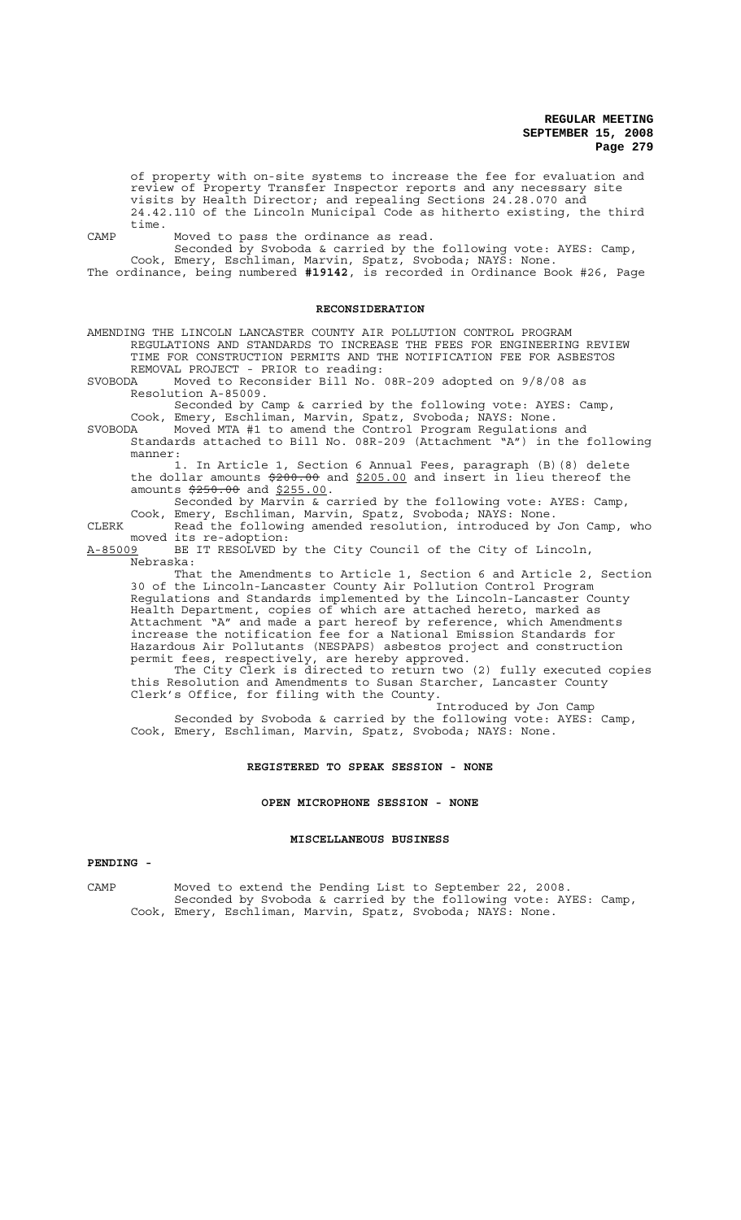of property with on-site systems to increase the fee for evaluation and review of Property Transfer Inspector reports and any necessary site visits by Health Director; and repealing Sections 24.28.070 and 24.42.110 of the Lincoln Municipal Code as hitherto existing, the third time.

CAMP Moved to pass the ordinance as read.

Seconded by Svoboda & carried by the following vote: AYES: Camp, Cook, Emery, Eschliman, Marvin, Spatz, Svoboda; NAYS: None. The ordinance, being numbered **#19142**, is recorded in Ordinance Book #26, Page

# **RECONSIDERATION**

AMENDING THE LINCOLN LANCASTER COUNTY AIR POLLUTION CONTROL PROGRAM REGULATIONS AND STANDARDS TO INCREASE THE FEES FOR ENGINEERING REVIEW TIME FOR CONSTRUCTION PERMITS AND THE NOTIFICATION FEE FOR ASBESTOS REMOVAL PROJECT - PRIOR to reading:<br>SVOBODA Moved to Reconsider Bill No.

Moved to Reconsider Bill No. 08R-209 adopted on 9/8/08 as Resolution A-85009.

Seconded by Camp & carried by the following vote: AYES: Camp, Cook, Emery, Eschliman, Marvin, Spatz, Svoboda; NAYS: None.

SVOBODA Moved MTA #1 to amend the Control Program Regulations and Standards attached to Bill No. 08R-209 (Attachment "A") in the following manner:

1. In Article 1, Section 6 Annual Fees, paragraph (B)(8) delete the dollar amounts \$200.00 and \$205.00 and insert in lieu thereof the amounts  $\frac{250.00}{250.00}$  and  $\frac{255.00}{250.00}$ .

Seconded by Marvin & carried by the following vote: AYES: Camp, Cook, Emery, Eschliman, Marvin, Spatz, Svoboda; NAYS: None.

CLERK Read the following amended resolution, introduced by Jon Camp, who moved its re-adoption:

A-85009 BE IT RESOLVED by the City Council of the City of Lincoln, Nebraska:

That the Amendments to Article 1, Section 6 and Article 2, Section 30 of the Lincoln-Lancaster County Air Pollution Control Program Regulations and Standards implemented by the Lincoln-Lancaster County Health Department, copies of which are attached hereto, marked as Attachment "A" and made a part hereof by reference, which Amendments increase the notification fee for a National Emission Standards for Hazardous Air Pollutants (NESPAPS) asbestos project and construction permit fees, respectively, are hereby approved.

The City Clerk is directed to return two (2) fully executed copies this Resolution and Amendments to Susan Starcher, Lancaster County Clerk's Office, for filing with the County.

Introduced by Jon Camp Seconded by Svoboda & carried by the following vote: AYES: Camp, Cook, Emery, Eschliman, Marvin, Spatz, Svoboda; NAYS: None.

### **REGISTERED TO SPEAK SESSION - NONE**

#### **OPEN MICROPHONE SESSION - NONE**

### **MISCELLANEOUS BUSINESS**

## **PENDING -**

CAMP Moved to extend the Pending List to September 22, 2008. Seconded by Svoboda & carried by the following vote: AYES: Camp, Cook, Emery, Eschliman, Marvin, Spatz, Svoboda; NAYS: None.